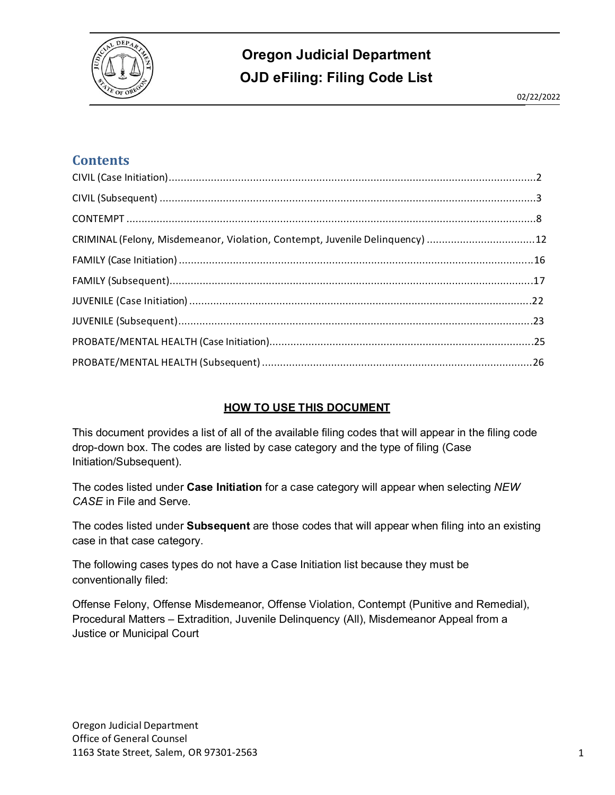

#### **Contents**

| CRIMINAL (Felony, Misdemeanor, Violation, Contempt, Juvenile Delinquency) 12 |  |
|------------------------------------------------------------------------------|--|
|                                                                              |  |
|                                                                              |  |
|                                                                              |  |
|                                                                              |  |
|                                                                              |  |
|                                                                              |  |

#### **HOW TO USE THIS DOCUMENT**

This document provides a list of all of the available filing codes that will appear in the filing code drop-down box. The codes are listed by case category and the type of filing (Case Initiation/Subsequent).

The codes listed under **Case Initiation** for a case category will appear when selecting *NEW CASE* in File and Serve.

The codes listed under **Subsequent** are those codes that will appear when filing into an existing case in that case category.

The following cases types do not have a Case Initiation list because they must be conventionally filed:

Offense Felony, Offense Misdemeanor, Offense Violation, Contempt (Punitive and Remedial), Procedural Matters – Extradition, Juvenile Delinquency (All), Misdemeanor Appeal from a Justice or Municipal Court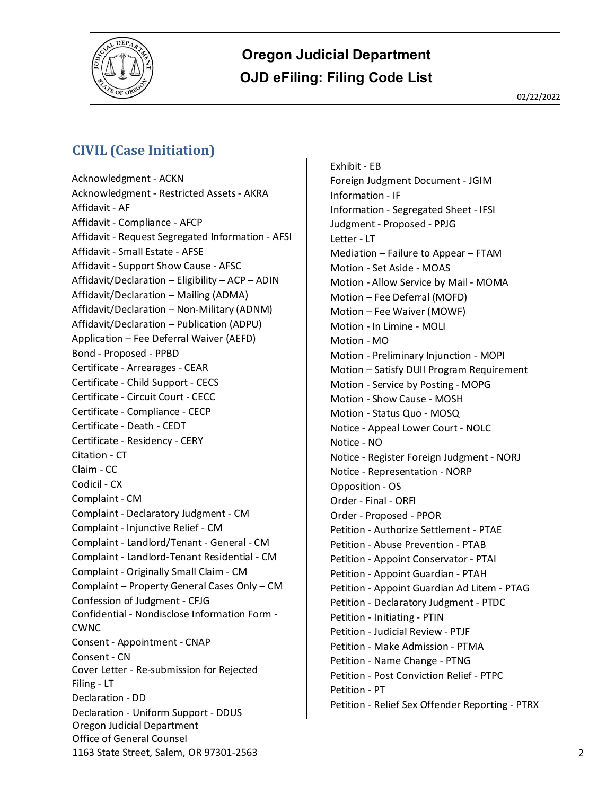

#### <span id="page-1-0"></span>**CIVIL (Case Initiation)**

Oregon Judicial Department Office of General Counsel 1163 State Street, Salem, OR 97301-2563 2 Acknowledgment - ACKN Acknowledgment - Restricted Assets - AKRA Affidavit - AF Affidavit - Compliance - AFCP Affidavit - Request Segregated Information - AFSI Affidavit - Small Estate - AFSE Affidavit - Support Show Cause - AFSC Affidavit/Declaration – Eligibility – ACP – ADIN Affidavit/Declaration – Mailing (ADMA) Affidavit/Declaration – Non-Military (ADNM) Affidavit/Declaration – Publication (ADPU) Application – Fee Deferral Waiver (AEFD) Bond - Proposed - PPBD Certificate - Arrearages - CEAR Certificate - Child Support - CECS Certificate - Circuit Court - CECC Certificate - Compliance - CECP Certificate - Death - CEDT Certificate - Residency - CERY Citation - CT Claim - CC Codicil - CX Complaint - CM Complaint - Declaratory Judgment - CM Complaint - Injunctive Relief - CM Complaint - Landlord/Tenant - General - CM Complaint - Landlord-Tenant Residential - CM Complaint - Originally Small Claim - CM Complaint – Property General Cases Only – CM Confession of Judgment - CFJG Confidential - Nondisclose Information Form - CWNC Consent - Appointment - CNAP Consent - CN Cover Letter - Re-submission for Rejected Filing - LT Declaration - DD Declaration - Uniform Support - DDUS

Exhibit - EB Foreign Judgment Document - JGIM Information - IF Information - Segregated Sheet - IFSI Judgment - Proposed - PPJG Letter - LT Mediation – Failure to Appear – FTAM Motion - Set Aside - MOAS Motion - Allow Service by Mail - MOMA Motion – Fee Deferral (MOFD) Motion – Fee Waiver (MOWF) Motion - In Limine - MOLI Motion - MO Motion - Preliminary Injunction - MOPI Motion – Satisfy DUII Program Requirement Motion - Service by Posting - MOPG Motion - Show Cause - MOSH Motion - Status Quo - MOSQ Notice - Appeal Lower Court - NOLC Notice - NO Notice - Register Foreign Judgment - NORJ Notice - Representation - NORP Opposition - OS Order - Final - ORFI Order - Proposed - PPOR Petition - Authorize Settlement - PTAE Petition - Abuse Prevention - PTAB Petition - Appoint Conservator - PTAI Petition - Appoint Guardian - PTAH Petition - Appoint Guardian Ad Litem - PTAG Petition - Declaratory Judgment - PTDC Petition - Initiating - PTIN Petition - Judicial Review - PTJF Petition - Make Admission - PTMA Petition - Name Change - PTNG Petition - Post Conviction Relief - PTPC Petition - PT Petition - Relief Sex Offender Reporting - PTRX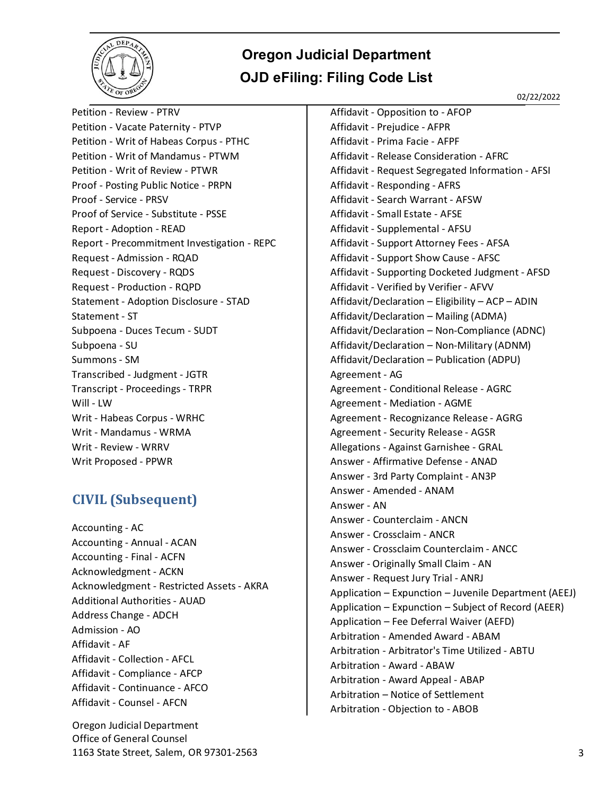

02/22/2022

Petition - Review - PTRV Petition - Vacate Paternity - PTVP Petition - Writ of Habeas Corpus - PTHC Petition - Writ of Mandamus - PTWM Petition - Writ of Review - PTWR Proof - Posting Public Notice - PRPN Proof - Service - PRSV Proof of Service - Substitute - PSSE Report - Adoption - READ Report - Precommitment Investigation - REPC Request - Admission - RQAD Request - Discovery - RQDS Request - Production - RQPD Statement - Adoption Disclosure - STAD Statement - ST Subpoena - Duces Tecum - SUDT Subpoena - SU Summons - SM Transcribed - Judgment - JGTR Transcript - Proceedings - TRPR Will - LW Writ - Habeas Corpus - WRHC Writ - Mandamus - WRMA Writ - Review - WRRV Writ Proposed - PPWR

#### <span id="page-2-0"></span>**CIVIL (Subsequent)**

Accounting - AC Accounting - Annual - ACAN Accounting - Final - ACFN Acknowledgment - ACKN Acknowledgment - Restricted Assets - AKRA Additional Authorities - AUAD Address Change - ADCH Admission - AO Affidavit - AF Affidavit - Collection - AFCL Affidavit - Compliance - AFCP Affidavit - Continuance - AFCO Affidavit - Counsel - AFCN

Oregon Judicial Department Office of General Counsel 1163 State Street, Salem, OR 97301-2563 3

Affidavit - Opposition to - AFOP Affidavit - Prejudice - AFPR Affidavit - Prima Facie - AFPF Affidavit - Release Consideration - AFRC Affidavit - Request Segregated Information - AFSI Affidavit - Responding - AFRS Affidavit - Search Warrant - AFSW Affidavit - Small Estate - AFSE Affidavit - Supplemental - AFSU Affidavit - Support Attorney Fees - AFSA Affidavit - Support Show Cause - AFSC Affidavit - Supporting Docketed Judgment - AFSD Affidavit - Verified by Verifier - AFVV Affidavit/Declaration – Eligibility – ACP – ADIN Affidavit/Declaration – Mailing (ADMA) Affidavit/Declaration – Non-Compliance (ADNC) Affidavit/Declaration – Non-Military (ADNM) Affidavit/Declaration – Publication (ADPU) Agreement - AG Agreement - Conditional Release - AGRC Agreement - Mediation - AGME Agreement - Recognizance Release - AGRG Agreement - Security Release - AGSR Allegations - Against Garnishee - GRAL Answer - Affirmative Defense - ANAD Answer - 3rd Party Complaint - AN3P Answer - Amended - ANAM Answer - AN Answer - Counterclaim - ANCN Answer - Crossclaim - ANCR Answer - Crossclaim Counterclaim - ANCC Answer - Originally Small Claim - AN Answer - Request Jury Trial - ANRJ Application – Expunction – Juvenile Department (AEEJ) Application – Expunction – Subject of Record (AEER) Application – Fee Deferral Waiver (AEFD) Arbitration - Amended Award - ABAM Arbitration - Arbitrator's Time Utilized - ABTU Arbitration - Award - ABAW Arbitration - Award Appeal - ABAP Arbitration – Notice of Settlement Arbitration - Objection to - ABOB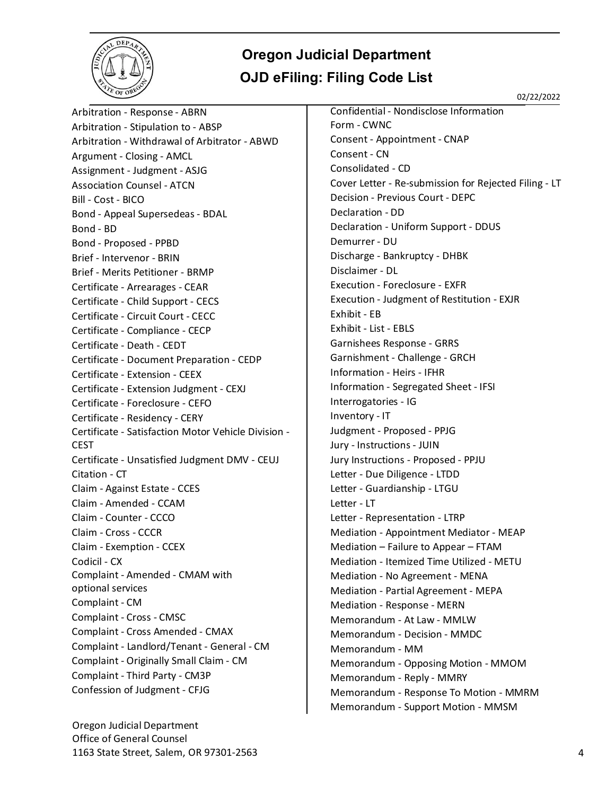

02/22/2022

Arbitration - Response - ABRN Arbitration - Stipulation to - ABSP Arbitration - Withdrawal of Arbitrator - ABWD Argument - Closing - AMCL Assignment - Judgment - ASJG Association Counsel - ATCN Bill - Cost - BICO Bond - Appeal Supersedeas - BDAL Bond - BD Bond - Proposed - PPBD Brief - Intervenor - BRIN Brief - Merits Petitioner - BRMP Certificate - Arrearages - CEAR Certificate - Child Support - CECS Certificate - Circuit Court - CECC Certificate - Compliance - CECP Certificate - Death - CEDT Certificate - Document Preparation - CEDP Certificate - Extension - CEEX Certificate - Extension Judgment - CEXJ Certificate - Foreclosure - CEFO Certificate - Residency - CERY Certificate - Satisfaction Motor Vehicle Division - CEST Certificate - Unsatisfied Judgment DMV - CEUJ Citation - CT Claim - Against Estate - CCES Claim - Amended - CCAM Claim - Counter - CCCO Claim - Cross - CCCR Claim - Exemption - CCEX Codicil - CX Complaint - Amended - CMAM with optional services Complaint - CM Complaint - Cross - CMSC Complaint - Cross Amended - CMAX Complaint - Landlord/Tenant - General - CM Complaint - Originally Small Claim - CM Complaint - Third Party - CM3P Confession of Judgment - CFJG

Oregon Judicial Department Office of General Counsel 1163 State Street, Salem, OR 97301-2563 4

Confidential - Nondisclose Information Form - CWNC Consent - Appointment - CNAP Consent - CN Consolidated - CD Cover Letter - Re-submission for Rejected Filing - LT Decision - Previous Court - DEPC Declaration - DD Declaration - Uniform Support - DDUS Demurrer - DU Discharge - Bankruptcy - DHBK Disclaimer - DL Execution - Foreclosure - EXFR Execution - Judgment of Restitution - EXJR Exhibit - EB Exhibit - List - EBLS Garnishees Response - GRRS Garnishment - Challenge - GRCH Information - Heirs - IFHR Information - Segregated Sheet - IFSI Interrogatories - IG Inventory - IT Judgment - Proposed - PPJG Jury - Instructions - JUIN Jury Instructions - Proposed - PPJU Letter - Due Diligence - LTDD Letter - Guardianship - LTGU Letter - LT Letter - Representation - LTRP Mediation - Appointment Mediator - MEAP Mediation – Failure to Appear – FTAM Mediation - Itemized Time Utilized - METU Mediation - No Agreement - MENA Mediation - Partial Agreement - MEPA Mediation - Response - MERN Memorandum - At Law - MMLW Memorandum - Decision - MMDC Memorandum - MM Memorandum - Opposing Motion - MMOM Memorandum - Reply - MMRY Memorandum - Response To Motion - MMRM Memorandum - Support Motion - MMSM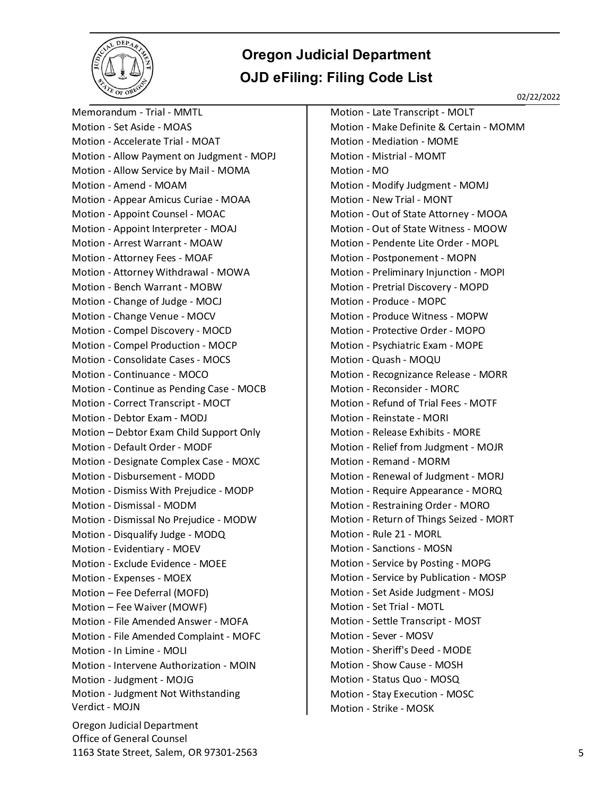

02/22/2022

Oregon Judicial Department Office of General Counsel 1163 State Street, Salem, OR 97301-2563 5 Memorandum - Trial - MMTL Motion - Set Aside - MOAS Motion - Accelerate Trial - MOAT Motion - Allow Payment on Judgment - MOPJ Motion - Allow Service by Mail - MOMA Motion - Amend - MOAM Motion - Appear Amicus Curiae - MOAA Motion - Appoint Counsel - MOAC Motion - Appoint Interpreter - MOAJ Motion - Arrest Warrant - MOAW Motion - Attorney Fees - MOAF Motion - Attorney Withdrawal - MOWA Motion - Bench Warrant - MOBW Motion - Change of Judge - MOCJ Motion - Change Venue - MOCV Motion - Compel Discovery - MOCD Motion - Compel Production - MOCP Motion - Consolidate Cases - MOCS Motion - Continuance - MOCO Motion - Continue as Pending Case - MOCB Motion - Correct Transcript - MOCT Motion - Debtor Exam - MODJ Motion – Debtor Exam Child Support Only Motion - Default Order - MODF Motion - Designate Complex Case - MOXC Motion - Disbursement - MODD Motion - Dismiss With Prejudice - MODP Motion - Dismissal - MODM Motion - Dismissal No Prejudice - MODW Motion - Disqualify Judge - MODQ Motion - Evidentiary - MOEV Motion - Exclude Evidence - MOEE Motion - Expenses - MOEX Motion – Fee Deferral (MOFD) Motion – Fee Waiver (MOWF) Motion - File Amended Answer - MOFA Motion - File Amended Complaint - MOFC Motion - In Limine - MOLI Motion - Intervene Authorization - MOIN Motion - Judgment - MOJG Motion - Judgment Not Withstanding Verdict - MOJN

Motion - Late Transcript - MOLT Motion - Make Definite & Certain - MOMM Motion - Mediation - MOME Motion - Mistrial - MOMT Motion - MO Motion - Modify Judgment - MOMJ Motion - New Trial - MONT Motion - Out of State Attorney - MOOA Motion - Out of State Witness - MOOW Motion - Pendente Lite Order - MOPL Motion - Postponement - MOPN Motion - Preliminary Injunction - MOPI Motion - Pretrial Discovery - MOPD Motion - Produce - MOPC Motion - Produce Witness - MOPW Motion - Protective Order - MOPO Motion - Psychiatric Exam - MOPE Motion - Quash - MOQU Motion - Recognizance Release - MORR Motion - Reconsider - MORC Motion - Refund of Trial Fees - MOTF Motion - Reinstate - MORI Motion - Release Exhibits - MORE Motion - Relief from Judgment - MOJR Motion - Remand - MORM Motion - Renewal of Judgment - MORJ Motion - Require Appearance - MORQ Motion - Restraining Order - MORO Motion - Return of Things Seized - MORT Motion - Rule 21 - MORL Motion - Sanctions - MOSN Motion - Service by Posting - MOPG Motion - Service by Publication - MOSP Motion - Set Aside Judgment - MOSJ Motion - Set Trial - MOTL Motion - Settle Transcript - MOST Motion - Sever - MOSV Motion - Sheriff's Deed - MODE Motion - Show Cause - MOSH Motion - Status Quo - MOSQ Motion - Stay Execution - MOSC Motion - Strike - MOSK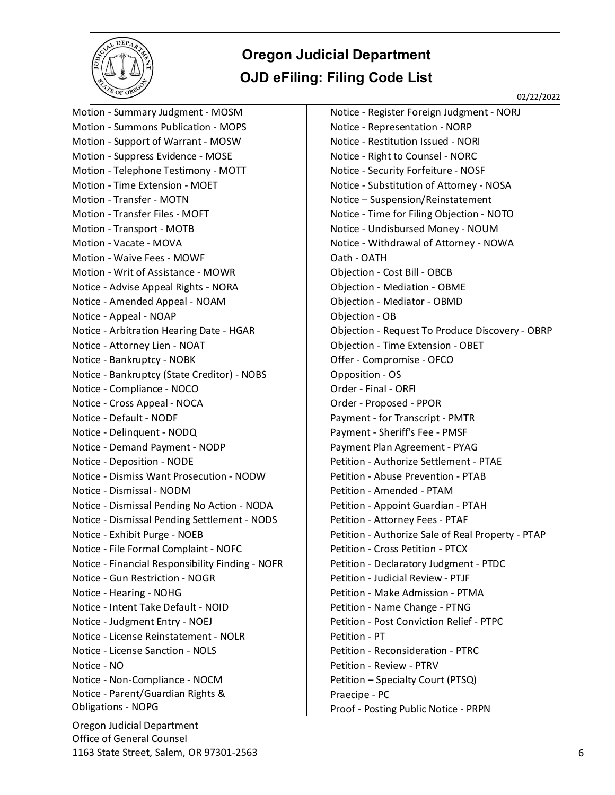

02/22/2022

Oregon Judicial Department Office of General Counsel 1163 State Street, Salem, OR 97301-2563 6 Motion - Summary Judgment - MOSM Motion - Summons Publication - MOPS Motion - Support of Warrant - MOSW Motion - Suppress Evidence - MOSE Motion - Telephone Testimony - MOTT Motion - Time Extension - MOET Motion - Transfer - MOTN Motion - Transfer Files - MOFT Motion - Transport - MOTB Motion - Vacate - MOVA Motion - Waive Fees - MOWF Motion - Writ of Assistance - MOWR Notice - Advise Appeal Rights - NORA Notice - Amended Appeal - NOAM Notice - Appeal - NOAP Notice - Arbitration Hearing Date - HGAR Notice - Attorney Lien - NOAT Notice - Bankruptcy - NOBK Notice - Bankruptcy (State Creditor) - NOBS Notice - Compliance - NOCO Notice - Cross Appeal - NOCA Notice - Default - NODF Notice - Delinquent - NODQ Notice - Demand Payment - NODP Notice - Deposition - NODE Notice - Dismiss Want Prosecution - NODW Notice - Dismissal - NODM Notice - Dismissal Pending No Action - NODA Notice - Dismissal Pending Settlement - NODS Notice - Exhibit Purge - NOEB Notice - File Formal Complaint - NOFC Notice - Financial Responsibility Finding - NOFR Notice - Gun Restriction - NOGR Notice - Hearing - NOHG Notice - Intent Take Default - NOID Notice - Judgment Entry - NOEJ Notice - License Reinstatement - NOLR Notice - License Sanction - NOLS Notice - NO Notice - Non-Compliance - NOCM Notice - Parent/Guardian Rights & Obligations - NOPG

Notice - Register Foreign Judgment - NORJ Notice - Representation - NORP Notice - Restitution Issued - NORI Notice - Right to Counsel - NORC Notice - Security Forfeiture - NOSF Notice - Substitution of Attorney - NOSA Notice – Suspension/Reinstatement Notice - Time for Filing Objection - NOTO Notice - Undisbursed Money - NOUM Notice - Withdrawal of Attorney - NOWA Oath - OATH Objection - Cost Bill - OBCB Objection - Mediation - OBME Objection - Mediator - OBMD Objection - OB Objection - Request To Produce Discovery - OBRP Objection - Time Extension - OBET Offer - Compromise - OFCO Opposition - OS Order - Final - ORFI Order - Proposed - PPOR Payment - for Transcript - PMTR Payment - Sheriff's Fee - PMSF Payment Plan Agreement - PYAG Petition - Authorize Settlement - PTAE Petition - Abuse Prevention - PTAB Petition - Amended - PTAM Petition - Appoint Guardian - PTAH Petition - Attorney Fees - PTAF Petition - Authorize Sale of Real Property - PTAP Petition - Cross Petition - PTCX Petition - Declaratory Judgment - PTDC Petition - Judicial Review - PTJF Petition - Make Admission - PTMA Petition - Name Change - PTNG Petition - Post Conviction Relief - PTPC Petition - PT Petition - Reconsideration - PTRC Petition - Review - PTRV Petition – Specialty Court (PTSQ) Praecipe - PC Proof - Posting Public Notice - PRPN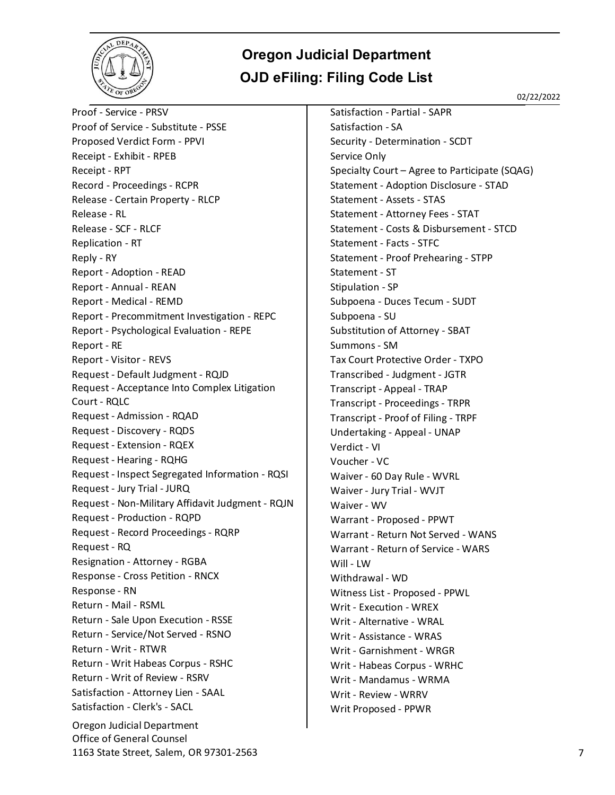

02/22/2022

Oregon Judicial Department Office of General Counsel Proof - Service - PRSV Proof of Service - Substitute - PSSE Proposed Verdict Form - PPVI Receipt - Exhibit - RPEB Receipt - RPT Record - Proceedings - RCPR Release - Certain Property - RLCP Release - RL Release - SCF - RLCF Replication - RT Reply - RY Report - Adoption - READ Report - Annual - REAN Report - Medical - REMD Report - Precommitment Investigation - REPC Report - Psychological Evaluation - REPE Report - RE Report - Visitor - REVS Request - Default Judgment - RQJD Request - Acceptance Into Complex Litigation Court - RQLC Request - Admission - RQAD Request - Discovery - RQDS Request - Extension - RQEX Request - Hearing - RQHG Request - Inspect Segregated Information - RQSI Request - Jury Trial - JURQ Request - Non-Military Affidavit Judgment - RQJN Request - Production - RQPD Request - Record Proceedings - RQRP Request - RQ Resignation - Attorney - RGBA Response - Cross Petition - RNCX Response - RN Return - Mail - RSML Return - Sale Upon Execution - RSSE Return - Service/Not Served - RSNO Return - Writ - RTWR Return - Writ Habeas Corpus - RSHC Return - Writ of Review - RSRV Satisfaction - Attorney Lien - SAAL Satisfaction - Clerk's - SACL

Satisfaction - Partial - SAPR Satisfaction - SA Security - Determination - SCDT Service Only Specialty Court – Agree to Participate (SQAG) Statement - Adoption Disclosure - STAD Statement - Assets - STAS Statement - Attorney Fees - STAT Statement - Costs & Disbursement - STCD Statement - Facts - STFC Statement - Proof Prehearing - STPP Statement - ST Stipulation - SP Subpoena - Duces Tecum - SUDT Subpoena - SU Substitution of Attorney - SBAT Summons - SM Tax Court Protective Order - TXPO Transcribed - Judgment - JGTR Transcript - Appeal - TRAP Transcript - Proceedings - TRPR Transcript - Proof of Filing - TRPF Undertaking - Appeal - UNAP Verdict - VI Voucher - VC Waiver - 60 Day Rule - WVRL Waiver - Jury Trial - WVJT Waiver - WV Warrant - Proposed - PPWT Warrant - Return Not Served - WANS Warrant - Return of Service - WARS Will - LW Withdrawal - WD Witness List - Proposed - PPWL Writ - Execution - WREX Writ - Alternative - WRAL Writ - Assistance - WRAS Writ - Garnishment - WRGR Writ - Habeas Corpus - WRHC Writ - Mandamus - WRMA Writ - Review - WRRV Writ Proposed - PPWR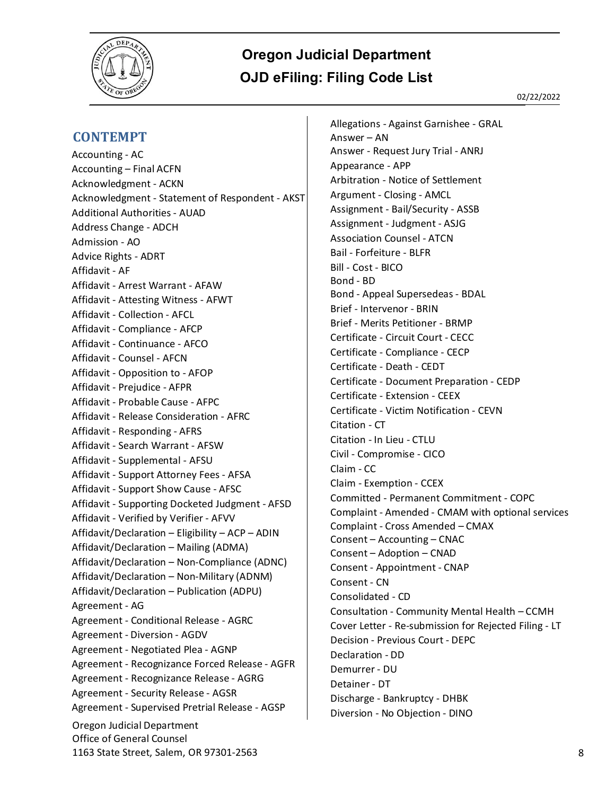

#### <span id="page-7-0"></span>**CONTEMPT**

Oregon Judicial Department Office of General Counsel 1163 State Street, Salem, OR 97301-2563 8 Accounting - AC Accounting – Final ACFN Acknowledgment - ACKN Acknowledgment - Statement of Respondent - AKST Additional Authorities - AUAD Address Change - ADCH Admission - AO Advice Rights - ADRT Affidavit - AF Affidavit - Arrest Warrant - AFAW Affidavit - Attesting Witness - AFWT Affidavit - Collection - AFCL Affidavit - Compliance - AFCP Affidavit - Continuance - AFCO Affidavit - Counsel - AFCN Affidavit - Opposition to - AFOP Affidavit - Prejudice - AFPR Affidavit - Probable Cause - AFPC Affidavit - Release Consideration - AFRC Affidavit - Responding - AFRS Affidavit - Search Warrant - AFSW Affidavit - Supplemental - AFSU Affidavit - Support Attorney Fees - AFSA Affidavit - Support Show Cause - AFSC Affidavit - Supporting Docketed Judgment - AFSD Affidavit - Verified by Verifier - AFVV Affidavit/Declaration – Eligibility – ACP – ADIN Affidavit/Declaration – Mailing (ADMA) Affidavit/Declaration – Non-Compliance (ADNC) Affidavit/Declaration – Non-Military (ADNM) Affidavit/Declaration – Publication (ADPU) Agreement - AG Agreement - Conditional Release - AGRC Agreement - Diversion - AGDV Agreement - Negotiated Plea - AGNP Agreement - Recognizance Forced Release - AGFR Agreement - Recognizance Release - AGRG Agreement - Security Release - AGSR Agreement - Supervised Pretrial Release - AGSP

Allegations - Against Garnishee - GRAL Answer – AN Answer - Request Jury Trial - ANRJ Appearance - APP Arbitration - Notice of Settlement Argument - Closing - AMCL Assignment - Bail/Security - ASSB Assignment - Judgment - ASJG Association Counsel - ATCN Bail - Forfeiture - BLFR Bill - Cost - BICO Bond - BD Bond - Appeal Supersedeas - BDAL Brief - Intervenor - BRIN Brief - Merits Petitioner - BRMP Certificate - Circuit Court - CECC Certificate - Compliance - CECP Certificate - Death - CEDT Certificate - Document Preparation - CEDP Certificate - Extension - CEEX Certificate - Victim Notification - CEVN Citation - CT Citation - In Lieu - CTLU Civil - Compromise - CICO Claim - CC Claim - Exemption - CCEX Committed - Permanent Commitment - COPC Complaint - Amended - CMAM with optional services Complaint - Cross Amended – CMAX Consent – Accounting – CNAC Consent – Adoption – CNAD Consent - Appointment - CNAP Consent - CN Consolidated - CD Consultation - Community Mental Health – CCMH Cover Letter - Re-submission for Rejected Filing - LT Decision - Previous Court - DEPC Declaration - DD Demurrer - DU Detainer - DT Discharge - Bankruptcy - DHBK Diversion - No Objection - DINO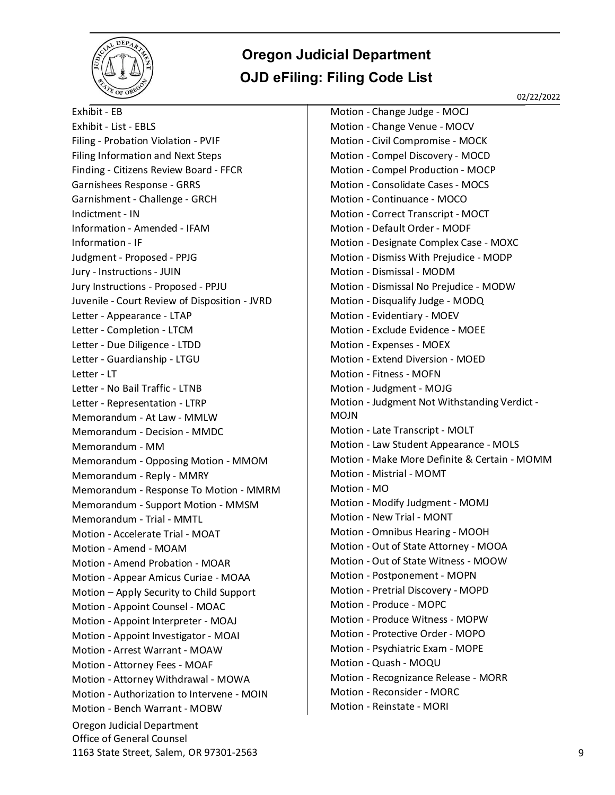

02/22/2022

Oregon Judicial Department Office of General Counsel 1163 State Street, Salem, OR 97301-2563 9 Exhibit - EB Exhibit - List - EBLS Filing - Probation Violation - PVIF Filing Information and Next Steps Finding - Citizens Review Board - FFCR Garnishees Response - GRRS Garnishment - Challenge - GRCH Indictment - IN Information - Amended - IFAM Information - IF Judgment - Proposed - PPJG Jury - Instructions - JUIN Jury Instructions - Proposed - PPJU Juvenile - Court Review of Disposition - JVRD Letter - Appearance - LTAP Letter - Completion - LTCM Letter - Due Diligence - LTDD Letter - Guardianship - LTGU Letter - LT Letter - No Bail Traffic - LTNB Letter - Representation - LTRP Memorandum - At Law - MMLW Memorandum - Decision - MMDC Memorandum - MM Memorandum - Opposing Motion - MMOM Memorandum - Reply - MMRY Memorandum - Response To Motion - MMRM Memorandum - Support Motion - MMSM Memorandum - Trial - MMTL Motion - Accelerate Trial - MOAT Motion - Amend - MOAM Motion - Amend Probation - MOAR Motion - Appear Amicus Curiae - MOAA Motion – Apply Security to Child Support Motion - Appoint Counsel - MOAC Motion - Appoint Interpreter - MOAJ Motion - Appoint Investigator - MOAI Motion - Arrest Warrant - MOAW Motion - Attorney Fees - MOAF Motion - Attorney Withdrawal - MOWA Motion - Authorization to Intervene - MOIN Motion - Bench Warrant - MOBW

Motion - Change Judge - MOCJ Motion - Change Venue - MOCV Motion - Civil Compromise - MOCK Motion - Compel Discovery - MOCD Motion - Compel Production - MOCP Motion - Consolidate Cases - MOCS Motion - Continuance - MOCO Motion - Correct Transcript - MOCT Motion - Default Order - MODF Motion - Designate Complex Case - MOXC Motion - Dismiss With Prejudice - MODP Motion - Dismissal - MODM Motion - Dismissal No Prejudice - MODW Motion - Disqualify Judge - MODQ Motion - Evidentiary - MOEV Motion - Exclude Evidence - MOEE Motion - Expenses - MOEX Motion - Extend Diversion - MOED Motion - Fitness - MOFN Motion - Judgment - MOJG Motion - Judgment Not Withstanding Verdict - MOJN Motion - Late Transcript - MOLT Motion - Law Student Appearance - MOLS Motion - Make More Definite & Certain - MOMM Motion - Mistrial - MOMT Motion - MO Motion - Modify Judgment - MOMJ Motion - New Trial - MONT Motion - Omnibus Hearing - MOOH Motion - Out of State Attorney - MOOA Motion - Out of State Witness - MOOW Motion - Postponement - MOPN Motion - Pretrial Discovery - MOPD Motion - Produce - MOPC Motion - Produce Witness - MOPW Motion - Protective Order - MOPO Motion - Psychiatric Exam - MOPE Motion - Quash - MOQU Motion - Recognizance Release - MORR Motion - Reconsider - MORC Motion - Reinstate - MORI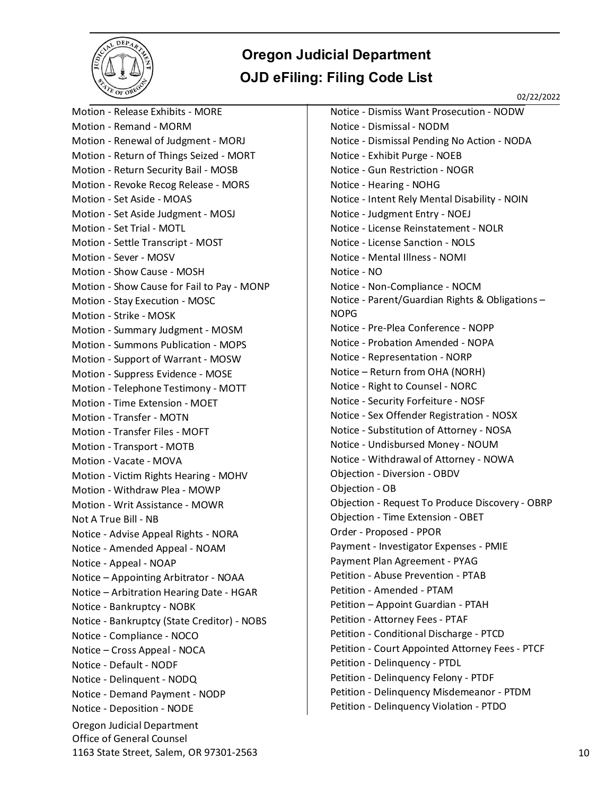

02/22/2022

Oregon Judicial Department Office of General Counsel 1163 State Street, Salem, OR 97301-2563 10 Motion - Release Exhibits - MORE Motion - Remand - MORM Motion - Renewal of Judgment - MORJ Motion - Return of Things Seized - MORT Motion - Return Security Bail - MOSB Motion - Revoke Recog Release - MORS Motion - Set Aside - MOAS Motion - Set Aside Judgment - MOSJ Motion - Set Trial - MOTL Motion - Settle Transcript - MOST Motion - Sever - MOSV Motion - Show Cause - MOSH Motion - Show Cause for Fail to Pay - MONP Motion - Stay Execution - MOSC Motion - Strike - MOSK Motion - Summary Judgment - MOSM Motion - Summons Publication - MOPS Motion - Support of Warrant - MOSW Motion - Suppress Evidence - MOSE Motion - Telephone Testimony - MOTT Motion - Time Extension - MOET Motion - Transfer - MOTN Motion - Transfer Files - MOFT Motion - Transport - MOTB Motion - Vacate - MOVA Motion - Victim Rights Hearing - MOHV Motion - Withdraw Plea - MOWP Motion - Writ Assistance - MOWR Not A True Bill - NB Notice - Advise Appeal Rights - NORA Notice - Amended Appeal - NOAM Notice - Appeal - NOAP Notice – Appointing Arbitrator - NOAA Notice – Arbitration Hearing Date - HGAR Notice - Bankruptcy - NOBK Notice - Bankruptcy (State Creditor) - NOBS Notice - Compliance - NOCO Notice – Cross Appeal - NOCA Notice - Default - NODF Notice - Delinquent - NODQ Notice - Demand Payment - NODP Notice - Deposition - NODE

Notice - Dismiss Want Prosecution - NODW Notice - Dismissal - NODM Notice - Dismissal Pending No Action - NODA Notice - Exhibit Purge - NOEB Notice - Gun Restriction - NOGR Notice - Hearing - NOHG Notice - Intent Rely Mental Disability - NOIN Notice - Judgment Entry - NOEJ Notice - License Reinstatement - NOLR Notice - License Sanction - NOLS Notice - Mental Illness - NOMI Notice - NO Notice - Non-Compliance - NOCM Notice - Parent/Guardian Rights & Obligations – NOPG Notice - Pre-Plea Conference - NOPP Notice - Probation Amended - NOPA Notice - Representation - NORP Notice – Return from OHA (NORH) Notice - Right to Counsel - NORC Notice - Security Forfeiture - NOSF Notice - Sex Offender Registration - NOSX Notice - Substitution of Attorney - NOSA Notice - Undisbursed Money - NOUM Notice - Withdrawal of Attorney - NOWA Objection - Diversion - OBDV Objection - OB Objection - Request To Produce Discovery - OBRP Objection - Time Extension - OBET Order - Proposed - PPOR Payment - Investigator Expenses - PMIE Payment Plan Agreement - PYAG Petition - Abuse Prevention - PTAB Petition - Amended - PTAM Petition – Appoint Guardian - PTAH Petition - Attorney Fees - PTAF Petition - Conditional Discharge - PTCD Petition - Court Appointed Attorney Fees - PTCF Petition - Delinquency - PTDL Petition - Delinquency Felony - PTDF Petition - Delinquency Misdemeanor - PTDM Petition - Delinquency Violation - PTDO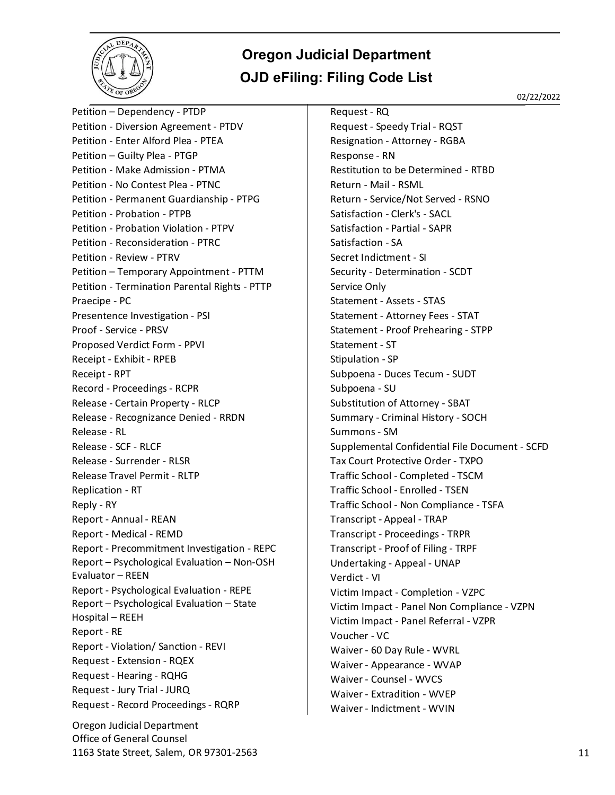

02/22/2022

Oregon Judicial Department Office of General Counsel Petition – Dependency - PTDP Petition - Diversion Agreement - PTDV Petition - Enter Alford Plea - PTEA Petition – Guilty Plea - PTGP Petition - Make Admission - PTMA Petition - No Contest Plea - PTNC Petition - Permanent Guardianship - PTPG Petition - Probation - PTPB Petition - Probation Violation - PTPV Petition - Reconsideration - PTRC Petition - Review - PTRV Petition – Temporary Appointment - PTTM Petition - Termination Parental Rights - PTTP Praecipe - PC Presentence Investigation - PSI Proof - Service - PRSV Proposed Verdict Form - PPVI Receipt - Exhibit - RPEB Receipt - RPT Record - Proceedings - RCPR Release - Certain Property - RLCP Release - Recognizance Denied - RRDN Release - RL Release - SCF - RLCF Release - Surrender - RLSR Release Travel Permit - RLTP Replication - RT Reply - RY Report - Annual - REAN Report - Medical - REMD Report - Precommitment Investigation - REPC Report – Psychological Evaluation – Non-OSH Evaluator – REEN Report - Psychological Evaluation - REPE Report – Psychological Evaluation – State Hospital – REEH Report - RE Report - Violation/ Sanction - REVI Request - Extension - RQEX Request - Hearing - RQHG Request - Jury Trial - JURQ Request - Record Proceedings - RQRP

Request - RQ Request - Speedy Trial - RQST Resignation - Attorney - RGBA Response - RN Restitution to be Determined - RTBD Return - Mail - RSML Return - Service/Not Served - RSNO Satisfaction - Clerk's - SACL Satisfaction - Partial - SAPR Satisfaction - SA Secret Indictment - SI Security - Determination - SCDT Service Only Statement - Assets - STAS Statement - Attorney Fees - STAT Statement - Proof Prehearing - STPP Statement - ST Stipulation - SP Subpoena - Duces Tecum - SUDT Subpoena - SU Substitution of Attorney - SBAT Summary - Criminal History - SOCH Summons - SM Supplemental Confidential File Document - SCFD Tax Court Protective Order - TXPO Traffic School - Completed - TSCM Traffic School - Enrolled - TSEN Traffic School - Non Compliance - TSFA Transcript - Appeal - TRAP Transcript - Proceedings - TRPR Transcript - Proof of Filing - TRPF Undertaking - Appeal - UNAP Verdict - VI Victim Impact - Completion - VZPC Victim Impact - Panel Non Compliance - VZPN Victim Impact - Panel Referral - VZPR Voucher - VC Waiver - 60 Day Rule - WVRL Waiver - Appearance - WVAP Waiver - Counsel - WVCS Waiver - Extradition - WVEP Waiver - Indictment - WVIN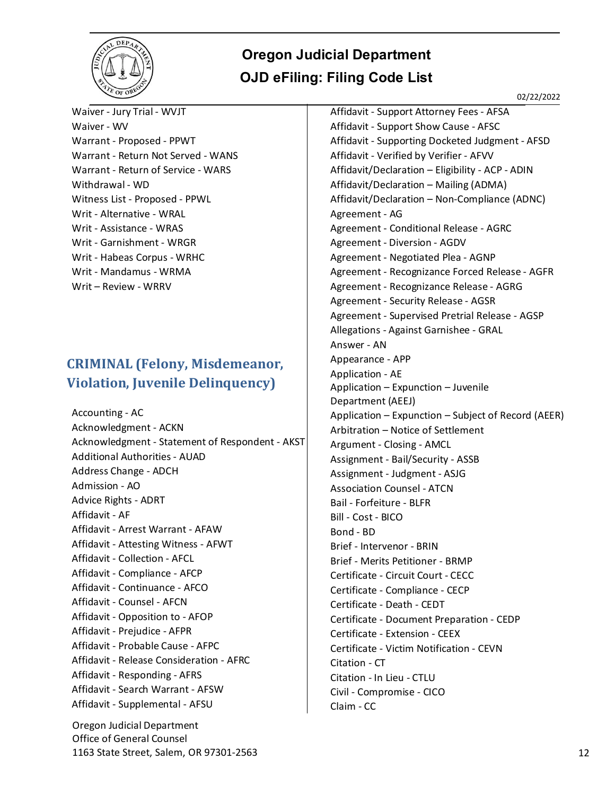

02/22/2022

Waiver - Jury Trial - WVJT Waiver - WV Warrant - Proposed - PPWT Warrant - Return Not Served - WANS Warrant - Return of Service - WARS Withdrawal - WD Witness List - Proposed - PPWL Writ - Alternative - WRAL Writ - Assistance - WRAS Writ - Garnishment - WRGR Writ - Habeas Corpus - WRHC Writ - Mandamus - WRMA Writ – Review - WRRV

#### <span id="page-11-0"></span>**CRIMINAL (Felony, Misdemeanor, Violation, Juvenile Delinquency)**

Accounting - AC Acknowledgment - ACKN Acknowledgment - Statement of Respondent - AKST Additional Authorities - AUAD Address Change - ADCH Admission - AO Advice Rights - ADRT Affidavit - AF Affidavit - Arrest Warrant - AFAW Affidavit - Attesting Witness - AFWT Affidavit - Collection - AFCL Affidavit - Compliance - AFCP Affidavit - Continuance - AFCO Affidavit - Counsel - AFCN Affidavit - Opposition to - AFOP Affidavit - Prejudice - AFPR Affidavit - Probable Cause - AFPC Affidavit - Release Consideration - AFRC Affidavit - Responding - AFRS Affidavit - Search Warrant - AFSW Affidavit - Supplemental - AFSU

Oregon Judicial Department Office of General Counsel 1163 State Street, Salem, OR 97301-2563 12

Affidavit - Support Attorney Fees - AFSA Affidavit - Support Show Cause - AFSC Affidavit - Supporting Docketed Judgment - AFSD Affidavit - Verified by Verifier - AFVV Affidavit/Declaration – Eligibility - ACP - ADIN Affidavit/Declaration – Mailing (ADMA) Affidavit/Declaration – Non-Compliance (ADNC) Agreement - AG Agreement - Conditional Release - AGRC Agreement - Diversion - AGDV Agreement - Negotiated Plea - AGNP Agreement - Recognizance Forced Release - AGFR Agreement - Recognizance Release - AGRG Agreement - Security Release - AGSR Agreement - Supervised Pretrial Release - AGSP Allegations - Against Garnishee - GRAL Answer - AN Appearance - APP Application - AE Application – Expunction – Juvenile Department (AEEJ) Application – Expunction – Subject of Record (AEER) Arbitration – Notice of Settlement Argument - Closing - AMCL Assignment - Bail/Security - ASSB Assignment - Judgment - ASJG Association Counsel - ATCN Bail - Forfeiture - BLFR Bill - Cost - BICO Bond - BD Brief - Intervenor - BRIN Brief - Merits Petitioner - BRMP Certificate - Circuit Court - CECC Certificate - Compliance - CECP Certificate - Death - CEDT Certificate - Document Preparation - CEDP Certificate - Extension - CEEX Certificate - Victim Notification - CEVN Citation - CT Citation - In Lieu - CTLU Civil - Compromise - CICO Claim - CC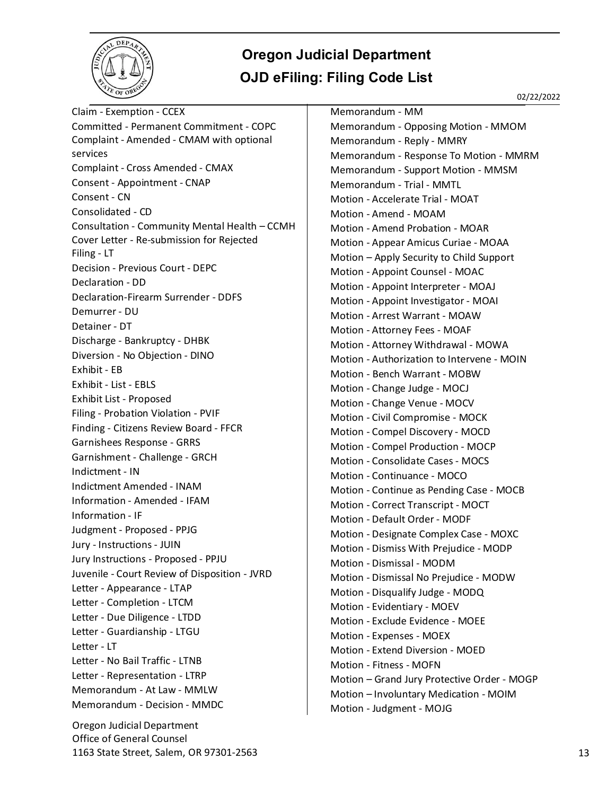

Claim - Exemption - CCEX Committed - Permanent Commitment - COPC Complaint - Amended - CMAM with optional services Complaint - Cross Amended - CMAX Consent - Appointment - CNAP Consent - CN Consolidated - CD Consultation - Community Mental Health – CCMH Cover Letter - Re-submission for Rejected Filing - LT Decision - Previous Court - DEPC Declaration - DD Declaration-Firearm Surrender - DDFS Demurrer - DU Detainer - DT Discharge - Bankruptcy - DHBK Diversion - No Objection - DINO Exhibit - EB Exhibit - List - EBLS Exhibit List - Proposed Filing - Probation Violation - PVIF Finding - Citizens Review Board - FFCR Garnishees Response - GRRS Garnishment - Challenge - GRCH Indictment - IN Indictment Amended - INAM Information - Amended - IFAM Information - IF Judgment - Proposed - PPJG Jury - Instructions - JUIN Jury Instructions - Proposed - PPJU Juvenile - Court Review of Disposition - JVRD Letter - Appearance - LTAP Letter - Completion - LTCM Letter - Due Diligence - LTDD Letter - Guardianship - LTGU Letter - LT Letter - No Bail Traffic - LTNB Letter - Representation - LTRP Memorandum - At Law - MMLW Memorandum - Decision - MMDC

Oregon Judicial Department Office of General Counsel 1163 State Street, Salem, OR 97301-2563 13

Memorandum - MM Memorandum - Opposing Motion - MMOM Memorandum - Reply - MMRY Memorandum - Response To Motion - MMRM Memorandum - Support Motion - MMSM Memorandum - Trial - MMTL Motion - Accelerate Trial - MOAT Motion - Amend - MOAM Motion - Amend Probation - MOAR Motion - Appear Amicus Curiae - MOAA Motion – Apply Security to Child Support Motion - Appoint Counsel - MOAC Motion - Appoint Interpreter - MOAJ Motion - Appoint Investigator - MOAI Motion - Arrest Warrant - MOAW Motion - Attorney Fees - MOAF Motion - Attorney Withdrawal - MOWA Motion - Authorization to Intervene - MOIN Motion - Bench Warrant - MOBW Motion - Change Judge - MOCJ Motion - Change Venue - MOCV Motion - Civil Compromise - MOCK Motion - Compel Discovery - MOCD Motion - Compel Production - MOCP Motion - Consolidate Cases - MOCS Motion - Continuance - MOCO Motion - Continue as Pending Case - MOCB Motion - Correct Transcript - MOCT Motion - Default Order - MODF Motion - Designate Complex Case - MOXC Motion - Dismiss With Prejudice - MODP Motion - Dismissal - MODM Motion - Dismissal No Prejudice - MODW Motion - Disqualify Judge - MODQ Motion - Evidentiary - MOEV Motion - Exclude Evidence - MOEE Motion - Expenses - MOEX Motion - Extend Diversion - MOED Motion - Fitness - MOFN Motion – Grand Jury Protective Order - MOGP Motion – Involuntary Medication - MOIM Motion - Judgment - MOJG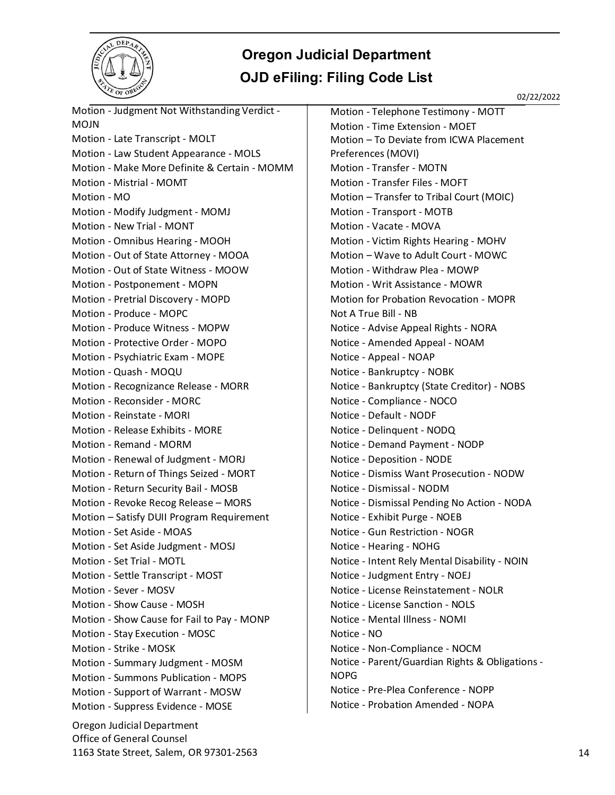

02/22/2022

Oregon Judicial Department Office of General Counsel Motion - Judgment Not Withstanding Verdict - MOJN Motion - Late Transcript - MOLT Motion - Law Student Appearance - MOLS Motion - Make More Definite & Certain - MOMM Motion - Mistrial - MOMT Motion - MO Motion - Modify Judgment - MOMJ Motion - New Trial - MONT Motion - Omnibus Hearing - MOOH Motion - Out of State Attorney - MOOA Motion - Out of State Witness - MOOW Motion - Postponement - MOPN Motion - Pretrial Discovery - MOPD Motion - Produce - MOPC Motion - Produce Witness - MOPW Motion - Protective Order - MOPO Motion - Psychiatric Exam - MOPE Motion - Quash - MOQU Motion - Recognizance Release - MORR Motion - Reconsider - MORC Motion - Reinstate - MORI Motion - Release Exhibits - MORE Motion - Remand - MORM Motion - Renewal of Judgment - MORJ Motion - Return of Things Seized - MORT Motion - Return Security Bail - MOSB Motion - Revoke Recog Release – MORS Motion – Satisfy DUII Program Requirement Motion - Set Aside - MOAS Motion - Set Aside Judgment - MOSJ Motion - Set Trial - MOTL Motion - Settle Transcript - MOST Motion - Sever - MOSV Motion - Show Cause - MOSH Motion - Show Cause for Fail to Pay - MONP Motion - Stay Execution - MOSC Motion - Strike - MOSK Motion - Summary Judgment - MOSM Motion - Summons Publication - MOPS Motion - Support of Warrant - MOSW Motion - Suppress Evidence - MOSE

Motion - Telephone Testimony - MOTT Motion - Time Extension - MOET Motion – To Deviate from ICWA Placement Preferences (MOVI) Motion - Transfer - MOTN Motion - Transfer Files - MOFT Motion – Transfer to Tribal Court (MOIC) Motion - Transport - MOTB Motion - Vacate - MOVA Motion - Victim Rights Hearing - MOHV Motion – Wave to Adult Court - MOWC Motion - Withdraw Plea - MOWP Motion - Writ Assistance - MOWR Motion for Probation Revocation - MOPR Not A True Bill - NB Notice - Advise Appeal Rights - NORA Notice - Amended Appeal - NOAM Notice - Appeal - NOAP Notice - Bankruptcy - NOBK Notice - Bankruptcy (State Creditor) - NOBS Notice - Compliance - NOCO Notice - Default - NODF Notice - Delinquent - NODQ Notice - Demand Payment - NODP Notice - Deposition - NODE Notice - Dismiss Want Prosecution - NODW Notice - Dismissal - NODM Notice - Dismissal Pending No Action - NODA Notice - Exhibit Purge - NOEB Notice - Gun Restriction - NOGR Notice - Hearing - NOHG Notice - Intent Rely Mental Disability - NOIN Notice - Judgment Entry - NOEJ Notice - License Reinstatement - NOLR Notice - License Sanction - NOLS Notice - Mental Illness - NOMI Notice - NO Notice - Non-Compliance - NOCM Notice - Parent/Guardian Rights & Obligations - NOPG Notice - Pre-Plea Conference - NOPP Notice - Probation Amended - NOPA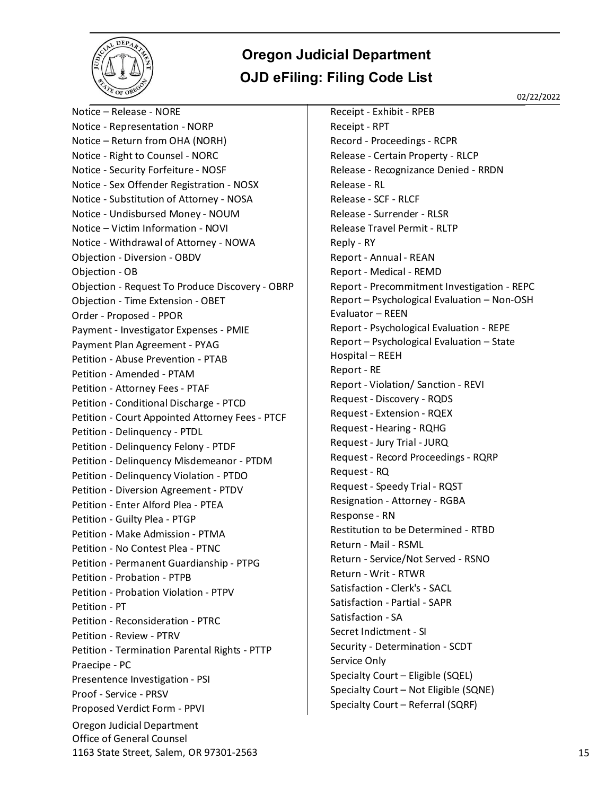

02/22/2022

Oregon Judicial Department Office of General Counsel 1163 State Street, Salem, OR 97301-2563 15 Notice – Release - NORE Notice - Representation - NORP Notice – Return from OHA (NORH) Notice - Right to Counsel - NORC Notice - Security Forfeiture - NOSF Notice - Sex Offender Registration - NOSX Notice - Substitution of Attorney - NOSA Notice - Undisbursed Money - NOUM Notice – Victim Information - NOVI Notice - Withdrawal of Attorney - NOWA Objection - Diversion - OBDV Objection - OB Objection - Request To Produce Discovery - OBRP Objection - Time Extension - OBET Order - Proposed - PPOR Payment - Investigator Expenses - PMIE Payment Plan Agreement - PYAG Petition - Abuse Prevention - PTAB Petition - Amended - PTAM Petition - Attorney Fees - PTAF Petition - Conditional Discharge - PTCD Petition - Court Appointed Attorney Fees - PTCF Petition - Delinquency - PTDL Petition - Delinquency Felony - PTDF Petition - Delinquency Misdemeanor - PTDM Petition - Delinquency Violation - PTDO Petition - Diversion Agreement - PTDV Petition - Enter Alford Plea - PTEA Petition - Guilty Plea - PTGP Petition - Make Admission - PTMA Petition - No Contest Plea - PTNC Petition - Permanent Guardianship - PTPG Petition - Probation - PTPB Petition - Probation Violation - PTPV Petition - PT Petition - Reconsideration - PTRC Petition - Review - PTRV Petition - Termination Parental Rights - PTTP Praecipe - PC Presentence Investigation - PSI Proof - Service - PRSV Proposed Verdict Form - PPVI

Receipt - Exhibit - RPEB Receipt - RPT Record - Proceedings - RCPR Release - Certain Property - RLCP Release - Recognizance Denied - RRDN Release - RL Release - SCF - RLCF Release - Surrender - RLSR Release Travel Permit - RLTP Reply - RY Report - Annual - REAN Report - Medical - REMD Report - Precommitment Investigation - REPC Report – Psychological Evaluation – Non-OSH Evaluator – REEN Report - Psychological Evaluation - REPE Report – Psychological Evaluation – State Hospital – REEH Report - RE Report - Violation/ Sanction - REVI Request - Discovery - RQDS Request - Extension - RQEX Request - Hearing - RQHG Request - Jury Trial - JURQ Request - Record Proceedings - RQRP Request - RQ Request - Speedy Trial - RQST Resignation - Attorney - RGBA Response - RN Restitution to be Determined - RTBD Return - Mail - RSML Return - Service/Not Served - RSNO Return - Writ - RTWR Satisfaction - Clerk's - SACL Satisfaction - Partial - SAPR Satisfaction - SA Secret Indictment - SI Security - Determination - SCDT Service Only Specialty Court – Eligible (SQEL) Specialty Court – Not Eligible (SQNE) Specialty Court – Referral (SQRF)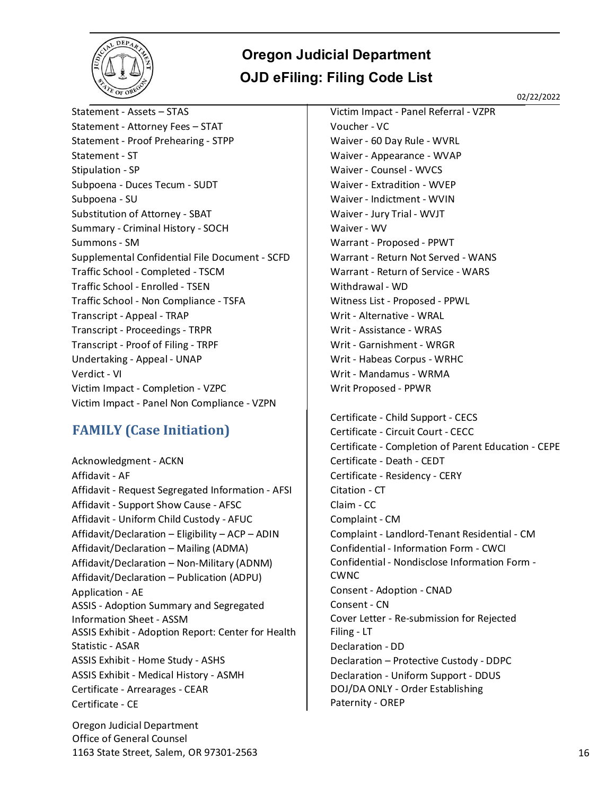

02/22/2022

Statement - Assets – STAS Statement - Attorney Fees – STAT Statement - Proof Prehearing - STPP Statement - ST Stipulation - SP Subpoena - Duces Tecum - SUDT Subpoena - SU Substitution of Attorney - SBAT Summary - Criminal History - SOCH Summons - SM Supplemental Confidential File Document - SCFD Traffic School - Completed - TSCM Traffic School - Enrolled - TSEN Traffic School - Non Compliance - TSFA Transcript - Appeal - TRAP Transcript - Proceedings - TRPR Transcript - Proof of Filing - TRPF Undertaking - Appeal - UNAP Verdict - VI Victim Impact - Completion - VZPC Victim Impact - Panel Non Compliance - VZPN

#### <span id="page-15-0"></span>**FAMILY (Case Initiation)**

Acknowledgment - ACKN Affidavit - AF Affidavit - Request Segregated Information - AFSI Affidavit - Support Show Cause - AFSC Affidavit - Uniform Child Custody - AFUC Affidavit/Declaration – Eligibility – ACP – ADIN Affidavit/Declaration – Mailing (ADMA) Affidavit/Declaration – Non-Military (ADNM) Affidavit/Declaration – Publication (ADPU) Application - AE ASSIS - Adoption Summary and Segregated Information Sheet - ASSM ASSIS Exhibit - Adoption Report: Center for Health Statistic - ASAR ASSIS Exhibit - Home Study - ASHS ASSIS Exhibit - Medical History - ASMH Certificate - Arrearages - CEAR Certificate - CE

Oregon Judicial Department Office of General Counsel 1163 State Street, Salem, OR 97301-2563 16

Victim Impact - Panel Referral - VZPR Voucher - VC Waiver - 60 Day Rule - WVRL Waiver - Appearance - WVAP Waiver - Counsel - WVCS Waiver - Extradition - WVEP Waiver - Indictment - WVIN Waiver - Jury Trial - WVJT Waiver - WV Warrant - Proposed - PPWT Warrant - Return Not Served - WANS Warrant - Return of Service - WARS Withdrawal - WD Witness List - Proposed - PPWL Writ - Alternative - WRAL Writ - Assistance - WRAS Writ - Garnishment - WRGR Writ - Habeas Corpus - WRHC Writ - Mandamus - WRMA Writ Proposed - PPWR

Certificate - Child Support - CECS Certificate - Circuit Court - CECC Certificate - Completion of Parent Education - CEPE Certificate - Death - CEDT Certificate - Residency - CERY Citation - CT Claim - CC Complaint - CM Complaint - Landlord-Tenant Residential - CM Confidential - Information Form - CWCI Confidential - Nondisclose Information Form - CWNC Consent - Adoption - CNAD Consent - CN Cover Letter - Re-submission for Rejected Filing - LT Declaration - DD Declaration – Protective Custody - DDPC Declaration - Uniform Support - DDUS DOJ/DA ONLY - Order Establishing Paternity - OREP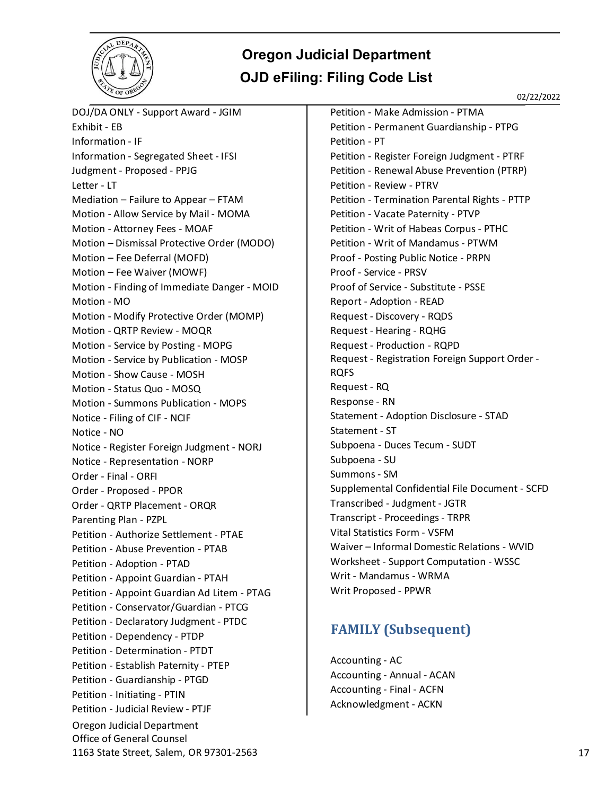

02/22/2022

Oregon Judicial Department Office of General Counsel 1163 State Street, Salem, OR 97301-2563 17 DOJ/DA ONLY - Support Award - JGIM Exhibit - EB Information - IF Information - Segregated Sheet - IFSI Judgment - Proposed - PPJG Letter - LT Mediation – Failure to Appear – FTAM Motion - Allow Service by Mail - MOMA Motion - Attorney Fees - MOAF Motion – Dismissal Protective Order (MODO) Motion – Fee Deferral (MOFD) Motion – Fee Waiver (MOWF) Motion - Finding of Immediate Danger - MOID Motion - MO Motion - Modify Protective Order (MOMP) Motion - QRTP Review - MOQR Motion - Service by Posting - MOPG Motion - Service by Publication - MOSP Motion - Show Cause - MOSH Motion - Status Quo - MOSQ Motion - Summons Publication - MOPS Notice - Filing of CIF - NCIF Notice - NO Notice - Register Foreign Judgment - NORJ Notice - Representation - NORP Order - Final - ORFI Order - Proposed - PPOR Order - QRTP Placement - ORQR Parenting Plan - PZPL Petition - Authorize Settlement - PTAE Petition - Abuse Prevention - PTAB Petition - Adoption - PTAD Petition - Appoint Guardian - PTAH Petition - Appoint Guardian Ad Litem - PTAG Petition - Conservator/Guardian - PTCG Petition - Declaratory Judgment - PTDC Petition - Dependency - PTDP Petition - Determination - PTDT Petition - Establish Paternity - PTEP Petition - Guardianship - PTGD Petition - Initiating - PTIN Petition - Judicial Review - PTJF

Petition - Make Admission - PTMA Petition - Permanent Guardianship - PTPG Petition - PT Petition - Register Foreign Judgment - PTRF Petition - Renewal Abuse Prevention (PTRP) Petition - Review - PTRV Petition - Termination Parental Rights - PTTP Petition - Vacate Paternity - PTVP Petition - Writ of Habeas Corpus - PTHC Petition - Writ of Mandamus - PTWM Proof - Posting Public Notice - PRPN Proof - Service - PRSV Proof of Service - Substitute - PSSE Report - Adoption - READ Request - Discovery - RQDS Request - Hearing - RQHG Request - Production - RQPD Request - Registration Foreign Support Order - RQFS Request - RQ Response - RN Statement - Adoption Disclosure - STAD Statement - ST Subpoena - Duces Tecum - SUDT Subpoena - SU Summons - SM Supplemental Confidential File Document - SCFD Transcribed - Judgment - JGTR Transcript - Proceedings - TRPR Vital Statistics Form - VSFM Waiver – Informal Domestic Relations - WVID Worksheet - Support Computation - WSSC Writ - Mandamus - WRMA Writ Proposed - PPWR

#### <span id="page-16-0"></span>**FAMILY (Subsequent)**

Accounting - AC Accounting - Annual - ACAN Accounting - Final - ACFN Acknowledgment - ACKN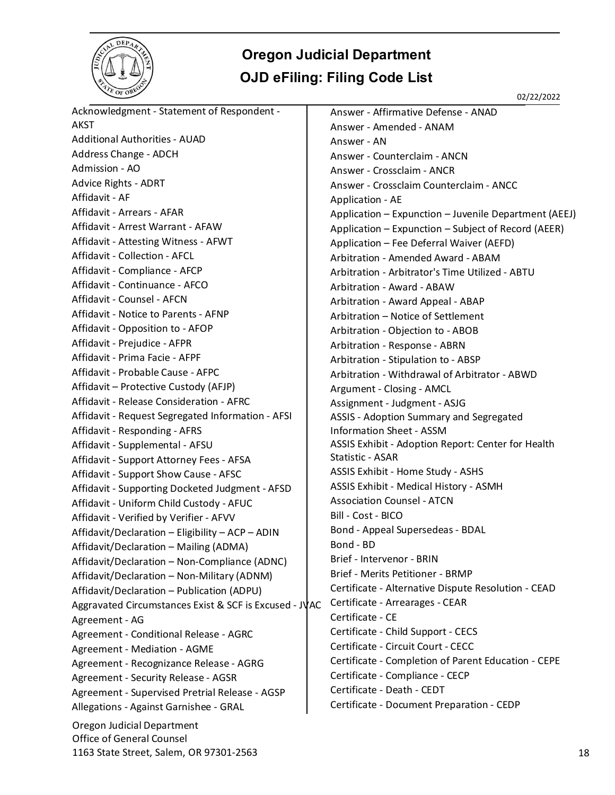

02/22/2022

| Acknowledgment - Statement of Respondent -                     | Answer - Affirmative Defense - ANAD                   |    |
|----------------------------------------------------------------|-------------------------------------------------------|----|
| AKST                                                           | Answer - Amended - ANAM                               |    |
| <b>Additional Authorities - AUAD</b>                           | Answer - AN                                           |    |
| Address Change - ADCH                                          | Answer - Counterclaim - ANCN                          |    |
| Admission - AO                                                 | Answer - Crossclaim - ANCR                            |    |
| Advice Rights - ADRT                                           | Answer - Crossclaim Counterclaim - ANCC               |    |
| Affidavit - AF                                                 | Application - AE                                      |    |
| Affidavit - Arrears - AFAR                                     | Application - Expunction - Juvenile Department (AEEJ) |    |
| Affidavit - Arrest Warrant - AFAW                              | Application - Expunction - Subject of Record (AEER)   |    |
| Affidavit - Attesting Witness - AFWT                           | Application - Fee Deferral Waiver (AEFD)              |    |
| Affidavit - Collection - AFCL                                  | Arbitration - Amended Award - ABAM                    |    |
| Affidavit - Compliance - AFCP                                  | Arbitration - Arbitrator's Time Utilized - ABTU       |    |
| Affidavit - Continuance - AFCO                                 | Arbitration - Award - ABAW                            |    |
| Affidavit - Counsel - AFCN                                     | Arbitration - Award Appeal - ABAP                     |    |
| Affidavit - Notice to Parents - AFNP                           | Arbitration - Notice of Settlement                    |    |
| Affidavit - Opposition to - AFOP                               | Arbitration - Objection to - ABOB                     |    |
| Affidavit - Prejudice - AFPR                                   | Arbitration - Response - ABRN                         |    |
| Affidavit - Prima Facie - AFPF                                 | Arbitration - Stipulation to - ABSP                   |    |
| Affidavit - Probable Cause - AFPC                              | Arbitration - Withdrawal of Arbitrator - ABWD         |    |
| Affidavit - Protective Custody (AFJP)                          | Argument - Closing - AMCL                             |    |
| Affidavit - Release Consideration - AFRC                       | Assignment - Judgment - ASJG                          |    |
| Affidavit - Request Segregated Information - AFSI              | ASSIS - Adoption Summary and Segregated               |    |
| Affidavit - Responding - AFRS                                  | <b>Information Sheet - ASSM</b>                       |    |
| Affidavit - Supplemental - AFSU                                | ASSIS Exhibit - Adoption Report: Center for Health    |    |
| Affidavit - Support Attorney Fees - AFSA                       | Statistic - ASAR                                      |    |
| Affidavit - Support Show Cause - AFSC                          | ASSIS Exhibit - Home Study - ASHS                     |    |
| Affidavit - Supporting Docketed Judgment - AFSD                | ASSIS Exhibit - Medical History - ASMH                |    |
| Affidavit - Uniform Child Custody - AFUC                       | <b>Association Counsel - ATCN</b>                     |    |
| Affidavit - Verified by Verifier - AFVV                        | Bill - Cost - BICO                                    |    |
| Affidavit/Declaration - Eligibility - ACP - ADIN               | Bond - Appeal Supersedeas - BDAL                      |    |
| Affidavit/Declaration - Mailing (ADMA)                         | Bond - BD                                             |    |
| Affidavit/Declaration - Non-Compliance (ADNC)                  | Brief - Intervenor - BRIN                             |    |
| Affidavit/Declaration - Non-Military (ADNM)                    | Brief - Merits Petitioner - BRMP                      |    |
| Affidavit/Declaration - Publication (ADPU)                     | Certificate - Alternative Dispute Resolution - CEAD   |    |
| Aggravated Circumstances Exist & SCF is Excused - JVAC         | Certificate - Arrearages - CEAR                       |    |
| Agreement - AG                                                 | Certificate - CE                                      |    |
| Agreement - Conditional Release - AGRC                         | Certificate - Child Support - CECS                    |    |
| Agreement - Mediation - AGME                                   | Certificate - Circuit Court - CECC                    |    |
| Agreement - Recognizance Release - AGRG                        | Certificate - Completion of Parent Education - CEPE   |    |
| Agreement - Security Release - AGSR                            | Certificate - Compliance - CECP                       |    |
| Agreement - Supervised Pretrial Release - AGSP                 | Certificate - Death - CEDT                            |    |
| Allegations - Against Garnishee - GRAL                         | Certificate - Document Preparation - CEDP             |    |
| Oregon Judicial Department<br><b>Office of General Counsel</b> |                                                       |    |
| 1163 State Street, Salem, OR 97301-2563                        |                                                       | 18 |
|                                                                |                                                       |    |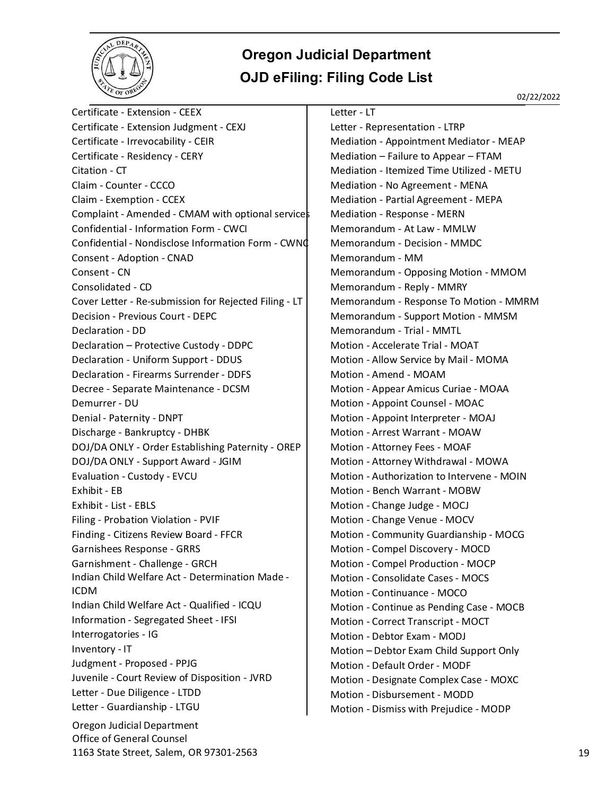

Oregon Judicial Department Office of General Counsel Certificate - Extension - CEEX Certificate - Extension Judgment - CEXJ Certificate - Irrevocability - CEIR Certificate - Residency - CERY Citation - CT Claim - Counter - CCCO Claim - Exemption - CCEX Complaint - Amended - CMAM with optional services Confidential - Information Form - CWCI Confidential - Nondisclose Information Form - CWNC Consent - Adoption - CNAD Consent - CN Consolidated - CD Cover Letter - Re-submission for Rejected Filing - LT Decision - Previous Court - DEPC Declaration - DD Declaration – Protective Custody - DDPC Declaration - Uniform Support - DDUS Declaration - Firearms Surrender - DDFS Decree - Separate Maintenance - DCSM Demurrer - DU Denial - Paternity - DNPT Discharge - Bankruptcy - DHBK DOJ/DA ONLY - Order Establishing Paternity - OREP DOJ/DA ONLY - Support Award - JGIM Evaluation - Custody - EVCU Exhibit - EB Exhibit - List - EBLS Filing - Probation Violation - PVIF Finding - Citizens Review Board - FFCR Garnishees Response - GRRS Garnishment - Challenge - GRCH Indian Child Welfare Act - Determination Made - ICDM Indian Child Welfare Act - Qualified - ICQU Information - Segregated Sheet - IFSI Interrogatories - IG Inventory - IT Judgment - Proposed - PPJG Juvenile - Court Review of Disposition - JVRD Letter - Due Diligence - LTDD Letter - Guardianship - LTGU

#### Letter - LT

Letter - Representation - LTRP Mediation - Appointment Mediator - MEAP Mediation – Failure to Appear – FTAM Mediation - Itemized Time Utilized - METU Mediation - No Agreement - MENA Mediation - Partial Agreement - MEPA Mediation - Response - MERN Memorandum - At Law - MMLW Memorandum - Decision - MMDC Memorandum - MM Memorandum - Opposing Motion - MMOM Memorandum - Reply - MMRY Memorandum - Response To Motion - MMRM Memorandum - Support Motion - MMSM Memorandum - Trial - MMTL Motion - Accelerate Trial - MOAT Motion - Allow Service by Mail - MOMA Motion - Amend - MOAM Motion - Appear Amicus Curiae - MOAA Motion - Appoint Counsel - MOAC Motion - Appoint Interpreter - MOAJ Motion - Arrest Warrant - MOAW Motion - Attorney Fees - MOAF Motion - Attorney Withdrawal - MOWA Motion - Authorization to Intervene - MOIN Motion - Bench Warrant - MOBW Motion - Change Judge - MOCJ Motion - Change Venue - MOCV Motion - Community Guardianship - MOCG Motion - Compel Discovery - MOCD Motion - Compel Production - MOCP Motion - Consolidate Cases - MOCS Motion - Continuance - MOCO Motion - Continue as Pending Case - MOCB Motion - Correct Transcript - MOCT Motion - Debtor Exam - MODJ Motion – Debtor Exam Child Support Only Motion - Default Order - MODF Motion - Designate Complex Case - MOXC Motion - Disbursement - MODD Motion - Dismiss with Prejudice - MODP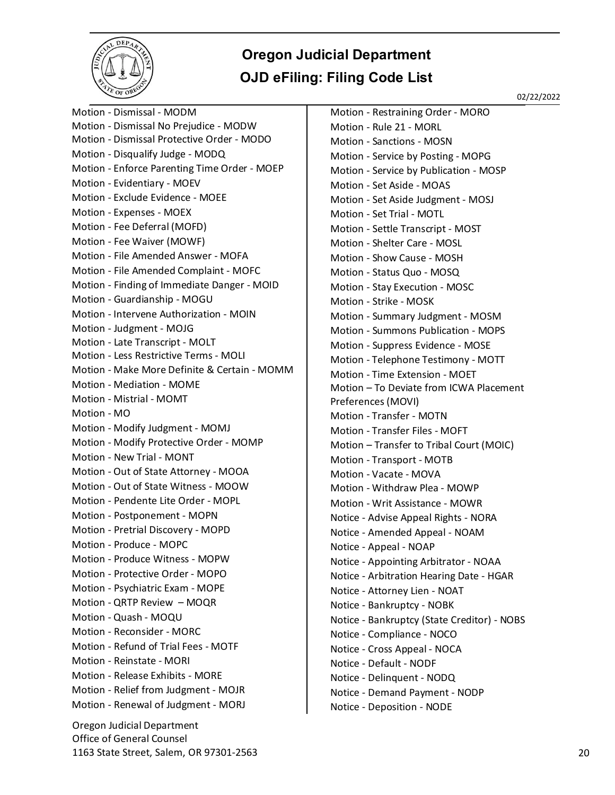

02/22/2022

Oregon Judicial Department Office of General Counsel Motion - Dismissal - MODM Motion - Dismissal No Prejudice - MODW Motion - Dismissal Protective Order - MODO Motion - Disqualify Judge - MODQ Motion - Enforce Parenting Time Order - MOEP Motion - Evidentiary - MOEV Motion - Exclude Evidence - MOEE Motion - Expenses - MOEX Motion - Fee Deferral (MOFD) Motion - Fee Waiver (MOWF) Motion - File Amended Answer - MOFA Motion - File Amended Complaint - MOFC Motion - Finding of Immediate Danger - MOID Motion - Guardianship - MOGU Motion - Intervene Authorization - MOIN Motion - Judgment - MOJG Motion - Late Transcript - MOLT Motion - Less Restrictive Terms - MOLI Motion - Make More Definite & Certain - MOMM Motion - Mediation - MOME Motion - Mistrial - MOMT Motion - MO Motion - Modify Judgment - MOMJ Motion - Modify Protective Order - MOMP Motion - New Trial - MONT Motion - Out of State Attorney - MOOA Motion - Out of State Witness - MOOW Motion - Pendente Lite Order - MOPL Motion - Postponement - MOPN Motion - Pretrial Discovery - MOPD Motion - Produce - MOPC Motion - Produce Witness - MOPW Motion - Protective Order - MOPO Motion - Psychiatric Exam - MOPE Motion - QRTP Review – MOQR Motion - Quash - MOQU Motion - Reconsider - MORC Motion - Refund of Trial Fees - MOTF Motion - Reinstate - MORI Motion - Release Exhibits - MORE Motion - Relief from Judgment - MOJR Motion - Renewal of Judgment - MORJ

Motion - Restraining Order - MORO Motion - Rule 21 - MORL Motion - Sanctions - MOSN Motion - Service by Posting - MOPG Motion - Service by Publication - MOSP Motion - Set Aside - MOAS Motion - Set Aside Judgment - MOSJ Motion - Set Trial - MOTL Motion - Settle Transcript - MOST Motion - Shelter Care - MOSL Motion - Show Cause - MOSH Motion - Status Quo - MOSQ Motion - Stay Execution - MOSC Motion - Strike - MOSK Motion - Summary Judgment - MOSM Motion - Summons Publication - MOPS Motion - Suppress Evidence - MOSE Motion - Telephone Testimony - MOTT Motion - Time Extension - MOET Motion – To Deviate from ICWA Placement Preferences (MOVI) Motion - Transfer - MOTN Motion - Transfer Files - MOFT Motion – Transfer to Tribal Court (MOIC) Motion - Transport - MOTB Motion - Vacate - MOVA Motion - Withdraw Plea - MOWP Motion - Writ Assistance - MOWR Notice - Advise Appeal Rights - NORA Notice - Amended Appeal - NOAM Notice - Appeal - NOAP Notice - Appointing Arbitrator - NOAA Notice - Arbitration Hearing Date - HGAR Notice - Attorney Lien - NOAT Notice - Bankruptcy - NOBK Notice - Bankruptcy (State Creditor) - NOBS Notice - Compliance - NOCO Notice - Cross Appeal - NOCA Notice - Default - NODF Notice - Delinquent - NODQ Notice - Demand Payment - NODP Notice - Deposition - NODE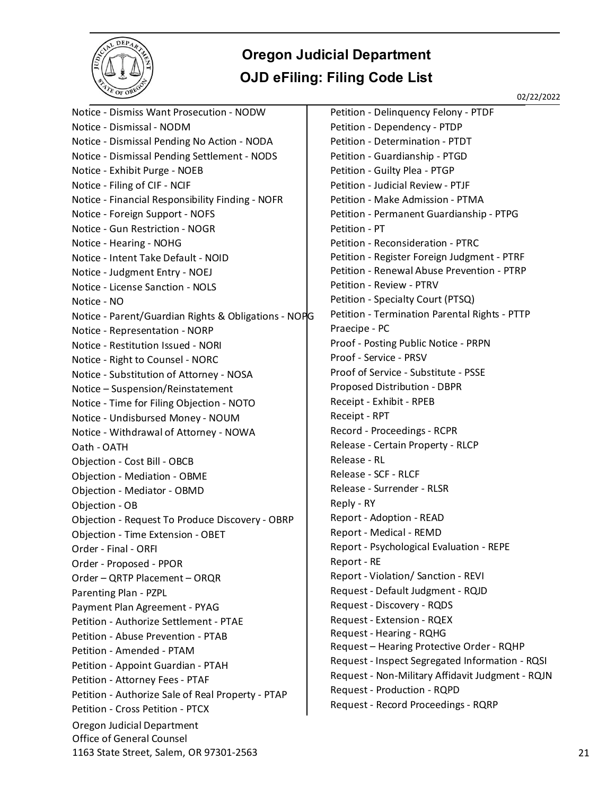

02/22/2022

Oregon Judicial Department Office of General Counsel 1163 State Street, Salem, OR 97301-2563 21 Notice - Dismiss Want Prosecution - NODW Notice - Dismissal - NODM Notice - Dismissal Pending No Action - NODA Notice - Dismissal Pending Settlement - NODS Notice - Exhibit Purge - NOEB Notice - Filing of CIF - NCIF Notice - Financial Responsibility Finding - NOFR Notice - Foreign Support - NOFS Notice - Gun Restriction - NOGR Notice - Hearing - NOHG Notice - Intent Take Default - NOID Notice - Judgment Entry - NOEJ Notice - License Sanction - NOLS Notice - NO Notice - Parent/Guardian Rights & Obligations - NOPG Notice - Representation - NORP Notice - Restitution Issued - NORI Notice - Right to Counsel - NORC Notice - Substitution of Attorney - NOSA Notice – Suspension/Reinstatement Notice - Time for Filing Objection - NOTO Notice - Undisbursed Money - NOUM Notice - Withdrawal of Attorney - NOWA Oath - OATH Objection - Cost Bill - OBCB Objection - Mediation - OBME Objection - Mediator - OBMD Objection - OB Objection - Request To Produce Discovery - OBRP Objection - Time Extension - OBET Order - Final - ORFI Order - Proposed - PPOR Order – QRTP Placement – ORQR Parenting Plan - PZPL Payment Plan Agreement - PYAG Petition - Authorize Settlement - PTAE Petition - Abuse Prevention - PTAB Petition - Amended - PTAM Petition - Appoint Guardian - PTAH Petition - Attorney Fees - PTAF Petition - Authorize Sale of Real Property - PTAP Petition - Cross Petition - PTCX

Petition - Delinquency Felony - PTDF Petition - Dependency - PTDP Petition - Determination - PTDT Petition - Guardianship - PTGD Petition - Guilty Plea - PTGP Petition - Judicial Review - PTJF Petition - Make Admission - PTMA Petition - Permanent Guardianship - PTPG Petition - PT Petition - Reconsideration - PTRC Petition - Register Foreign Judgment - PTRF Petition - Renewal Abuse Prevention - PTRP Petition - Review - PTRV Petition - Specialty Court (PTSQ) Petition - Termination Parental Rights - PTTP Praecipe - PC Proof - Posting Public Notice - PRPN Proof - Service - PRSV Proof of Service - Substitute - PSSE Proposed Distribution - DBPR Receipt - Exhibit - RPEB Receipt - RPT Record - Proceedings - RCPR Release - Certain Property - RLCP Release - RL Release - SCF - RLCF Release - Surrender - RLSR Reply - RY Report - Adoption - READ Report - Medical - REMD Report - Psychological Evaluation - REPE Report - RE Report - Violation/ Sanction - REVI Request - Default Judgment - RQJD Request - Discovery - RQDS Request - Extension - RQEX Request - Hearing - RQHG Request – Hearing Protective Order - RQHP Request - Inspect Segregated Information - RQSI Request - Non-Military Affidavit Judgment - RQJN Request - Production - RQPD Request - Record Proceedings - RQRP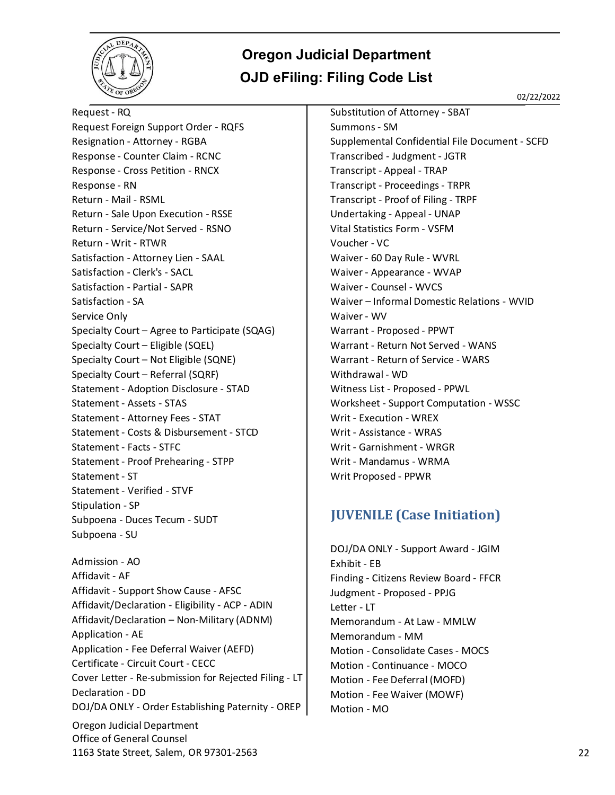<span id="page-21-0"></span>

02/22/2022

Oregon Judicial Department Office of General Counsel 1163 State Street, Salem, OR 97301-2563 22 Request - RQ Request Foreign Support Order - RQFS Resignation - Attorney - RGBA Response - Counter Claim - RCNC Response - Cross Petition - RNCX Response - RN Return - Mail - RSML Return - Sale Upon Execution - RSSE Return - Service/Not Served - RSNO Return - Writ - RTWR Satisfaction - Attorney Lien - SAAL Satisfaction - Clerk's - SACL Satisfaction - Partial - SAPR Satisfaction - SA Service Only Specialty Court – Agree to Participate (SQAG) Specialty Court – Eligible (SQEL) Specialty Court – Not Eligible (SQNE) Specialty Court – Referral (SQRF) Statement - Adoption Disclosure - STAD Statement - Assets - STAS Statement - Attorney Fees - STAT Statement - Costs & Disbursement - STCD Statement - Facts - STFC Statement - Proof Prehearing - STPP Statement - ST Statement - Verified - STVF Stipulation - SP Subpoena - Duces Tecum - SUDT Subpoena - SU Admission - AO Affidavit - AF Affidavit - Support Show Cause - AFSC Affidavit/Declaration - Eligibility - ACP - ADIN Affidavit/Declaration – Non-Military (ADNM) Application - AE Application - Fee Deferral Waiver (AEFD) Certificate - Circuit Court - CECC Cover Letter - Re-submission for Rejected Filing - LT Declaration - DD DOJ/DA ONLY - Order Establishing Paternity - OREP

Substitution of Attorney - SBAT Summons - SM Supplemental Confidential File Document - SCFD Transcribed - Judgment - JGTR Transcript - Appeal - TRAP Transcript - Proceedings - TRPR Transcript - Proof of Filing - TRPF Undertaking - Appeal - UNAP Vital Statistics Form - VSFM Voucher - VC Waiver - 60 Day Rule - WVRL Waiver - Appearance - WVAP Waiver - Counsel - WVCS Waiver – Informal Domestic Relations - WVID Waiver - WV Warrant - Proposed - PPWT Warrant - Return Not Served - WANS Warrant - Return of Service - WARS Withdrawal - WD Witness List - Proposed - PPWL Worksheet - Support Computation - WSSC Writ - Execution - WREX Writ - Assistance - WRAS Writ - Garnishment - WRGR Writ - Mandamus - WRMA Writ Proposed - PPWR

#### **JUVENILE (Case Initiation)**

DOJ/DA ONLY - Support Award - JGIM Exhibit - EB Finding - Citizens Review Board - FFCR Judgment - Proposed - PPJG Letter - LT Memorandum - At Law - MMLW Memorandum - MM Motion - Consolidate Cases - MOCS Motion - Continuance - MOCO Motion - Fee Deferral (MOFD) Motion - Fee Waiver (MOWF) Motion - MO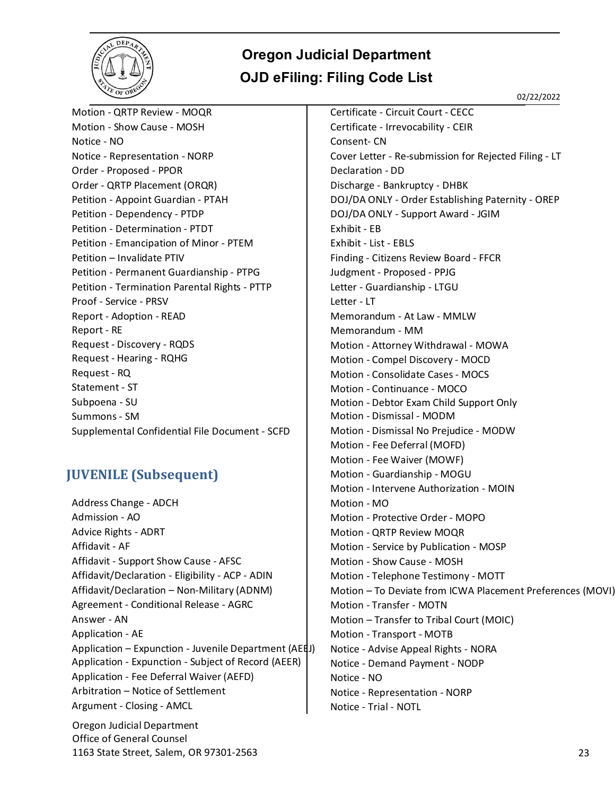

02/22/2022

Motion - QRTP Review - MOQR Motion - Show Cause - MOSH Notice - NO Notice - Representation - NORP Order - Proposed - PPOR Order - QRTP Placement (ORQR) Petition - Appoint Guardian - PTAH Petition - Dependency - PTDP Petition - Determination - PTDT Petition - Emancipation of Minor - PTEM Petition – Invalidate PTIV Petition - Permanent Guardianship - PTPG Petition - Termination Parental Rights - PTTP Proof - Service - PRSV Report - Adoption - READ Report - RE Request - Discovery - RQDS Request - Hearing - RQHG Request - RQ Statement - ST Subpoena - SU Summons - SM Supplemental Confidential File Document - SCFD

#### <span id="page-22-0"></span>**JUVENILE (Subsequent)**

Address Change - ADCH Admission - AO Advice Rights - ADRT Affidavit - AF Affidavit - Support Show Cause - AFSC Affidavit/Declaration - Eligibility - ACP - ADIN Affidavit/Declaration – Non-Military (ADNM) Agreement - Conditional Release - AGRC Answer - AN Application - AE Application – Expunction - Juvenile Department (AEEJ) Application - Expunction - Subject of Record (AEER) Application - Fee Deferral Waiver (AEFD) Arbitration – Notice of Settlement Argument - Closing - AMCL

Oregon Judicial Department Office of General Counsel 1163 State Street, Salem, OR 97301-2563 23

Certificate - Circuit Court - CECC Certificate - Irrevocability - CEIR Consent- CN Cover Letter - Re-submission for Rejected Filing - LT Declaration - DD Discharge - Bankruptcy - DHBK DOJ/DA ONLY - Order Establishing Paternity - OREP DOJ/DA ONLY - Support Award - JGIM Exhibit - EB Exhibit - List - EBLS Finding - Citizens Review Board - FFCR Judgment - Proposed - PPJG Letter - Guardianship - LTGU Letter - LT Memorandum - At Law - MMLW Memorandum - MM Motion - Attorney Withdrawal - MOWA Motion - Compel Discovery - MOCD Motion - Consolidate Cases - MOCS Motion - Continuance - MOCO Motion - Debtor Exam Child Support Only Motion - Dismissal - MODM Motion - Dismissal No Prejudice - MODW Motion - Fee Deferral (MOFD) Motion - Fee Waiver (MOWF) Motion - Guardianship - MOGU Motion - Intervene Authorization - MOIN Motion - MO Motion - Protective Order - MOPO Motion - QRTP Review MOQR Motion - Service by Publication - MOSP Motion - Show Cause - MOSH Motion - Telephone Testimony - MOTT Motion – To Deviate from ICWA Placement Preferences (MOVI) Motion - Transfer - MOTN Motion – Transfer to Tribal Court (MOIC) Motion - Transport - MOTB Notice - Advise Appeal Rights - NORA Notice - Demand Payment - NODP Notice - NO Notice - Representation - NORP Notice - Trial - NOTL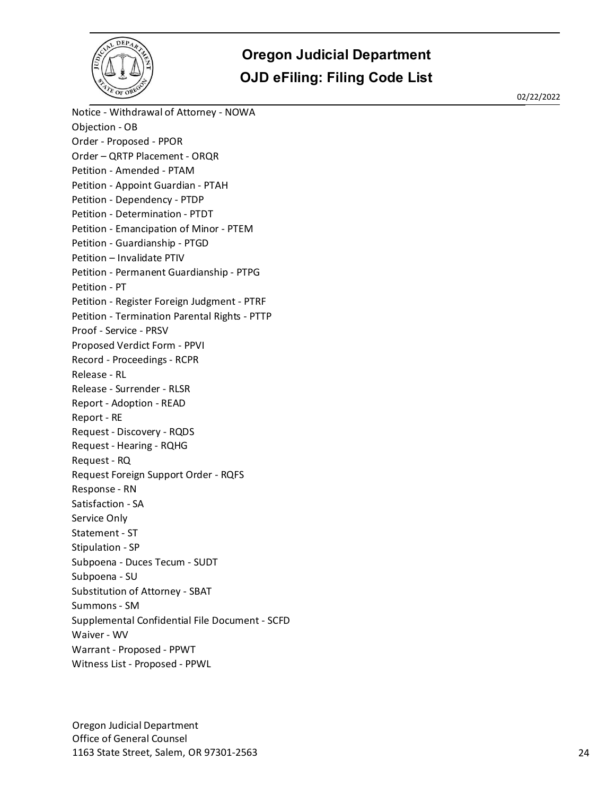

02/22/2022

Notice - Withdrawal of Attorney - NOWA Objection - OB Order - Proposed - PPOR Order – QRTP Placement - ORQR Petition - Amended - PTAM Petition - Appoint Guardian - PTAH Petition - Dependency - PTDP Petition - Determination - PTDT Petition - Emancipation of Minor - PTEM Petition - Guardianship - PTGD Petition – Invalidate PTIV Petition - Permanent Guardianship - PTPG Petition - PT Petition - Register Foreign Judgment - PTRF Petition - Termination Parental Rights - PTTP Proof - Service - PRSV Proposed Verdict Form - PPVI Record - Proceedings - RCPR Release - RL Release - Surrender - RLSR Report - Adoption - READ Report - RE Request - Discovery - RQDS Request - Hearing - RQHG Request - RQ Request Foreign Support Order - RQFS Response - RN Satisfaction - SA Service Only Statement - ST Stipulation - SP Subpoena - Duces Tecum - SUDT Subpoena - SU Substitution of Attorney - SBAT Summons - SM Supplemental Confidential File Document - SCFD Waiver - WV Warrant - Proposed - PPWT Witness List - Proposed - PPWL

Oregon Judicial Department Office of General Counsel 1163 State Street, Salem, OR 97301-2563 24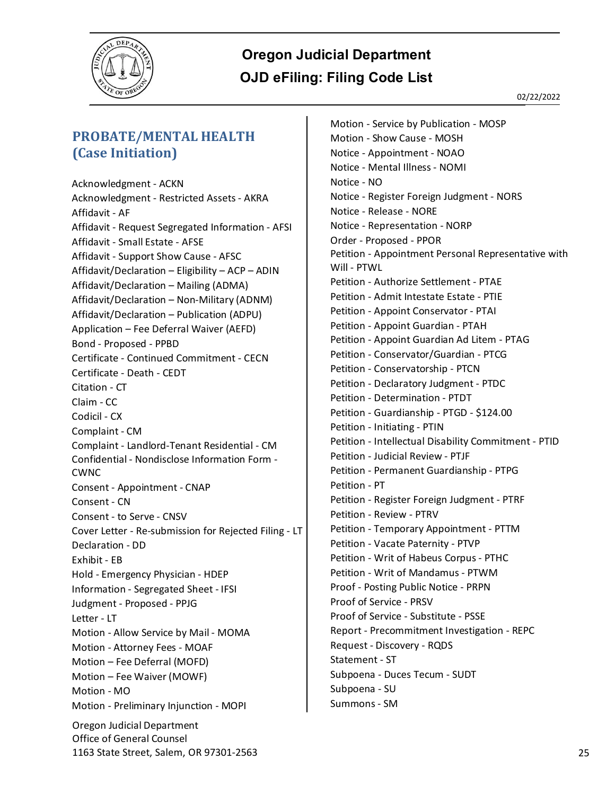

#### <span id="page-24-0"></span>**PROBATE/MENTAL HEALTH (Case Initiation)**

Oregon Judicial Department Office of General Counsel Acknowledgment - ACKN Acknowledgment - Restricted Assets - AKRA Affidavit - AF Affidavit - Request Segregated Information - AFSI Affidavit - Small Estate - AFSE Affidavit - Support Show Cause - AFSC Affidavit/Declaration – Eligibility – ACP – ADIN Affidavit/Declaration – Mailing (ADMA) Affidavit/Declaration – Non-Military (ADNM) Affidavit/Declaration – Publication (ADPU) Application – Fee Deferral Waiver (AEFD) Bond - Proposed - PPBD Certificate - Continued Commitment - CECN Certificate - Death - CEDT Citation - CT Claim - CC Codicil - CX Complaint - CM Complaint - Landlord-Tenant Residential - CM Confidential - Nondisclose Information Form - CWNC Consent - Appointment - CNAP Consent - CN Consent - to Serve - CNSV Cover Letter - Re-submission for Rejected Filing - LT Declaration - DD Exhibit - EB Hold - Emergency Physician - HDEP Information - Segregated Sheet - IFSI Judgment - Proposed - PPJG Letter - LT Motion - Allow Service by Mail - MOMA Motion - Attorney Fees - MOAF Motion – Fee Deferral (MOFD) Motion – Fee Waiver (MOWF) Motion - MO Motion - Preliminary Injunction - MOPI

Motion - Service by Publication - MOSP Motion - Show Cause - MOSH Notice - Appointment - NOAO Notice - Mental Illness - NOMI Notice - NO Notice - Register Foreign Judgment - NORS Notice - Release - NORE Notice - Representation - NORP Order - Proposed - PPOR Petition - Appointment Personal Representative with Will - PTWL Petition - Authorize Settlement - PTAE Petition - Admit Intestate Estate - PTIE Petition - Appoint Conservator - PTAI Petition - Appoint Guardian - PTAH Petition - Appoint Guardian Ad Litem - PTAG Petition - Conservator/Guardian - PTCG Petition - Conservatorship - PTCN Petition - Declaratory Judgment - PTDC Petition - Determination - PTDT Petition - Guardianship - PTGD - \$124.00 Petition - Initiating - PTIN Petition - Intellectual Disability Commitment - PTID Petition - Judicial Review - PTJF Petition - Permanent Guardianship - PTPG Petition - PT Petition - Register Foreign Judgment - PTRF Petition - Review - PTRV Petition - Temporary Appointment - PTTM Petition - Vacate Paternity - PTVP Petition - Writ of Habeus Corpus - PTHC Petition - Writ of Mandamus - PTWM Proof - Posting Public Notice - PRPN Proof of Service - PRSV Proof of Service - Substitute - PSSE Report - Precommitment Investigation - REPC Request - Discovery - RQDS Statement - ST Subpoena - Duces Tecum - SUDT Subpoena - SU Summons - SM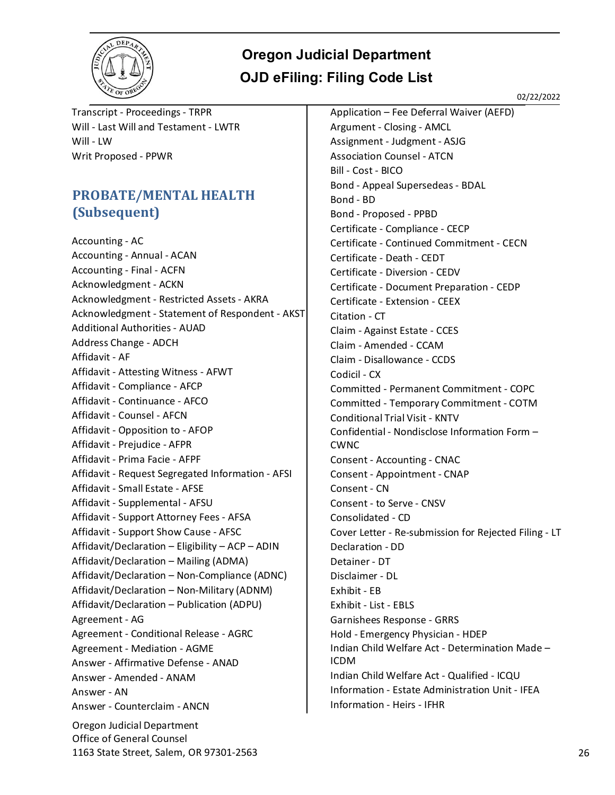

02/22/2022

Transcript - Proceedings - TRPR Will - Last Will and Testament - LWTR Will - LW Writ Proposed - PPWR

#### <span id="page-25-0"></span>**PROBATE/MENTAL HEALTH (Subsequent)**

Oregon Judicial Department Office of General Counsel Accounting - AC Accounting - Annual - ACAN Accounting - Final - ACFN Acknowledgment - ACKN Acknowledgment - Restricted Assets - AKRA Acknowledgment - Statement of Respondent - AKST Additional Authorities - AUAD Address Change - ADCH Affidavit - AF Affidavit - Attesting Witness - AFWT Affidavit - Compliance - AFCP Affidavit - Continuance - AFCO Affidavit - Counsel - AFCN Affidavit - Opposition to - AFOP Affidavit - Prejudice - AFPR Affidavit - Prima Facie - AFPF Affidavit - Request Segregated Information - AFSI Affidavit - Small Estate - AFSE Affidavit - Supplemental - AFSU Affidavit - Support Attorney Fees - AFSA Affidavit - Support Show Cause - AFSC Affidavit/Declaration – Eligibility – ACP – ADIN Affidavit/Declaration – Mailing (ADMA) Affidavit/Declaration – Non-Compliance (ADNC) Affidavit/Declaration – Non-Military (ADNM) Affidavit/Declaration – Publication (ADPU) Agreement - AG Agreement - Conditional Release - AGRC Agreement - Mediation - AGME Answer - Affirmative Defense - ANAD Answer - Amended - ANAM Answer - AN Answer - Counterclaim - ANCN

Application – Fee Deferral Waiver (AEFD) Argument - Closing - AMCL Assignment - Judgment - ASJG Association Counsel - ATCN Bill - Cost - BICO Bond - Appeal Supersedeas - BDAL Bond - BD Bond - Proposed - PPBD Certificate - Compliance - CECP Certificate - Continued Commitment - CECN Certificate - Death - CEDT Certificate - Diversion - CEDV Certificate - Document Preparation - CEDP Certificate - Extension - CEEX Citation - CT Claim - Against Estate - CCES Claim - Amended - CCAM Claim - Disallowance - CCDS Codicil - CX Committed - Permanent Commitment - COPC Committed - Temporary Commitment - COTM Conditional Trial Visit - KNTV Confidential - Nondisclose Information Form – CWNC Consent - Accounting - CNAC Consent - Appointment - CNAP Consent - CN Consent - to Serve - CNSV Consolidated - CD Cover Letter - Re-submission for Rejected Filing - LT Declaration - DD Detainer - DT Disclaimer - DL Exhibit - EB Exhibit - List - EBLS Garnishees Response - GRRS Hold - Emergency Physician - HDEP Indian Child Welfare Act - Determination Made – ICDM Indian Child Welfare Act - Qualified - ICQU Information - Estate Administration Unit - IFEA Information - Heirs - IFHR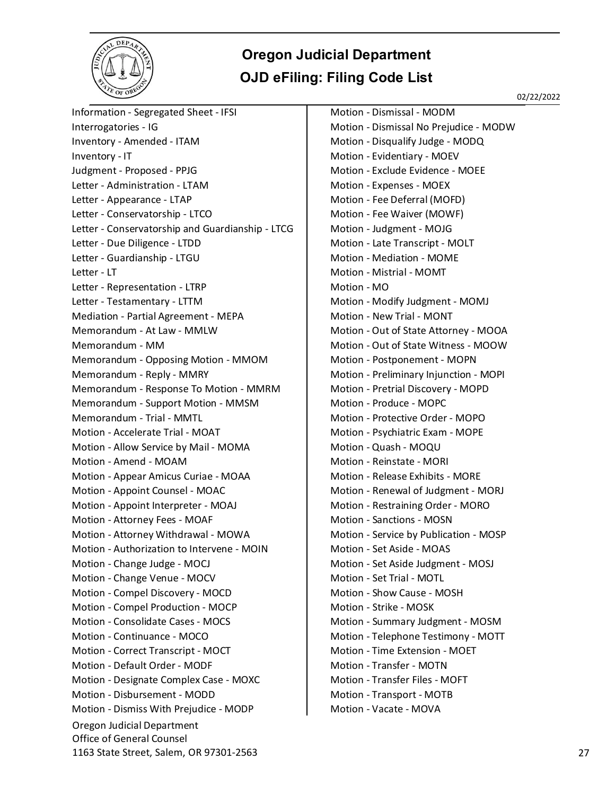

02/22/2022

Oregon Judicial Department Office of General Counsel 1163 State Street, Salem, OR 97301-2563 27 Information - Segregated Sheet - IFSI Interrogatories - IG Inventory - Amended - ITAM Inventory - IT Judgment - Proposed - PPJG Letter - Administration - LTAM Letter - Appearance - LTAP Letter - Conservatorship - LTCO Letter - Conservatorship and Guardianship - LTCG Letter - Due Diligence - LTDD Letter - Guardianship - LTGU Letter - LT Letter - Representation - LTRP Letter - Testamentary - LTTM Mediation - Partial Agreement - MEPA Memorandum - At Law - MMLW Memorandum - MM Memorandum - Opposing Motion - MMOM Memorandum - Reply - MMRY Memorandum - Response To Motion - MMRM Memorandum - Support Motion - MMSM Memorandum - Trial - MMTL Motion - Accelerate Trial - MOAT Motion - Allow Service by Mail - MOMA Motion - Amend - MOAM Motion - Appear Amicus Curiae - MOAA Motion - Appoint Counsel - MOAC Motion - Appoint Interpreter - MOAJ Motion - Attorney Fees - MOAF Motion - Attorney Withdrawal - MOWA Motion - Authorization to Intervene - MOIN Motion - Change Judge - MOCJ Motion - Change Venue - MOCV Motion - Compel Discovery - MOCD Motion - Compel Production - MOCP Motion - Consolidate Cases - MOCS Motion - Continuance - MOCO Motion - Correct Transcript - MOCT Motion - Default Order - MODF Motion - Designate Complex Case - MOXC Motion - Disbursement - MODD Motion - Dismiss With Prejudice - MODP

Motion - Dismissal - MODM Motion - Dismissal No Prejudice - MODW Motion - Disqualify Judge - MODQ Motion - Evidentiary - MOEV Motion - Exclude Evidence - MOEE Motion - Expenses - MOEX Motion - Fee Deferral (MOFD) Motion - Fee Waiver (MOWF) Motion - Judgment - MOJG Motion - Late Transcript - MOLT Motion - Mediation - MOME Motion - Mistrial - MOMT Motion - MO Motion - Modify Judgment - MOMJ Motion - New Trial - MONT Motion - Out of State Attorney - MOOA Motion - Out of State Witness - MOOW Motion - Postponement - MOPN Motion - Preliminary Injunction - MOPI Motion - Pretrial Discovery - MOPD Motion - Produce - MOPC Motion - Protective Order - MOPO Motion - Psychiatric Exam - MOPE Motion - Quash - MOQU Motion - Reinstate - MORI Motion - Release Exhibits - MORE Motion - Renewal of Judgment - MORJ Motion - Restraining Order - MORO Motion - Sanctions - MOSN Motion - Service by Publication - MOSP Motion - Set Aside - MOAS Motion - Set Aside Judgment - MOSJ Motion - Set Trial - MOTL Motion - Show Cause - MOSH Motion - Strike - MOSK Motion - Summary Judgment - MOSM Motion - Telephone Testimony - MOTT Motion - Time Extension - MOET Motion - Transfer - MOTN Motion - Transfer Files - MOFT Motion - Transport - MOTB Motion - Vacate - MOVA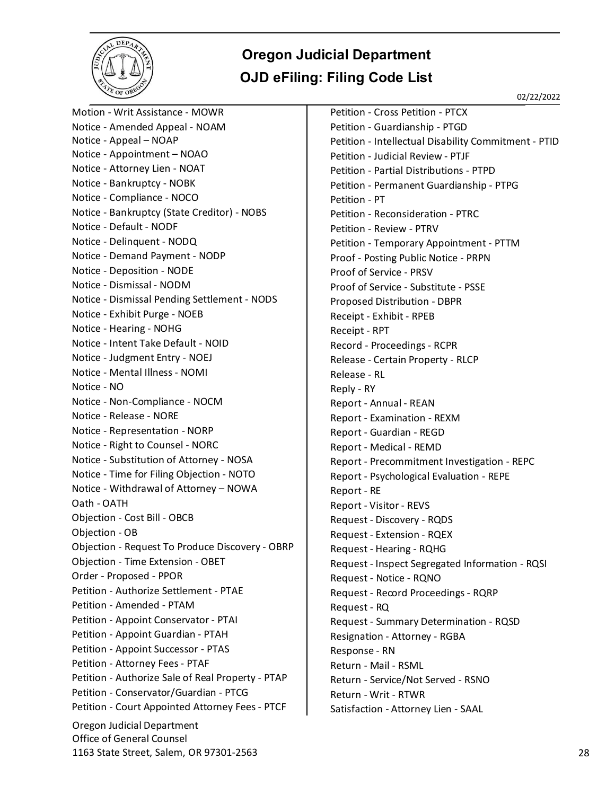

02/22/2022

Oregon Judicial Department Office of General Counsel 1163 State Street, Salem, OR 97301-2563 28 Motion - Writ Assistance - MOWR Notice - Amended Appeal - NOAM Notice - Appeal – NOAP Notice - Appointment – NOAO Notice - Attorney Lien - NOAT Notice - Bankruptcy - NOBK Notice - Compliance - NOCO Notice - Bankruptcy (State Creditor) - NOBS Notice - Default - NODF Notice - Delinquent - NODQ Notice - Demand Payment - NODP Notice - Deposition - NODE Notice - Dismissal - NODM Notice - Dismissal Pending Settlement - NODS Notice - Exhibit Purge - NOEB Notice - Hearing - NOHG Notice - Intent Take Default - NOID Notice - Judgment Entry - NOEJ Notice - Mental Illness - NOMI Notice - NO Notice - Non-Compliance - NOCM Notice - Release - NORE Notice - Representation - NORP Notice - Right to Counsel - NORC Notice - Substitution of Attorney - NOSA Notice - Time for Filing Objection - NOTO Notice - Withdrawal of Attorney – NOWA Oath - OATH Objection - Cost Bill - OBCB Objection - OB Objection - Request To Produce Discovery - OBRP Objection - Time Extension - OBET Order - Proposed - PPOR Petition - Authorize Settlement - PTAE Petition - Amended - PTAM Petition - Appoint Conservator - PTAI Petition - Appoint Guardian - PTAH Petition - Appoint Successor - PTAS Petition - Attorney Fees - PTAF Petition - Authorize Sale of Real Property - PTAP Petition - Conservator/Guardian - PTCG Petition - Court Appointed Attorney Fees - PTCF Petition - Cross Petition - PTCX Petition - Guardianship - PTGD Petition - Intellectual Disability Commitment - PTID Petition - Judicial Review - PTJF Petition - Partial Distributions - PTPD Petition - Permanent Guardianship - PTPG Petition - PT Petition - Reconsideration - PTRC Petition - Review - PTRV Petition - Temporary Appointment - PTTM Proof - Posting Public Notice - PRPN Proof of Service - PRSV Proof of Service - Substitute - PSSE Proposed Distribution - DBPR Receipt - Exhibit - RPEB Receipt - RPT Record - Proceedings - RCPR Release - Certain Property - RLCP Release - RL Reply - RY Report - Annual - REAN Report - Examination - REXM Report - Guardian - REGD Report - Medical - REMD Report - Precommitment Investigation - REPC Report - Psychological Evaluation - REPE Report - RE Report - Visitor - REVS Request - Discovery - RQDS Request - Extension - RQEX Request - Hearing - RQHG Request - Inspect Segregated Information - RQSI Request - Notice - RQNO Request - Record Proceedings - RQRP Request - RQ Request - Summary Determination - RQSD Resignation - Attorney - RGBA Response - RN Return - Mail - RSML Return - Service/Not Served - RSNO Return - Writ - RTWR Satisfaction - Attorney Lien - SAAL